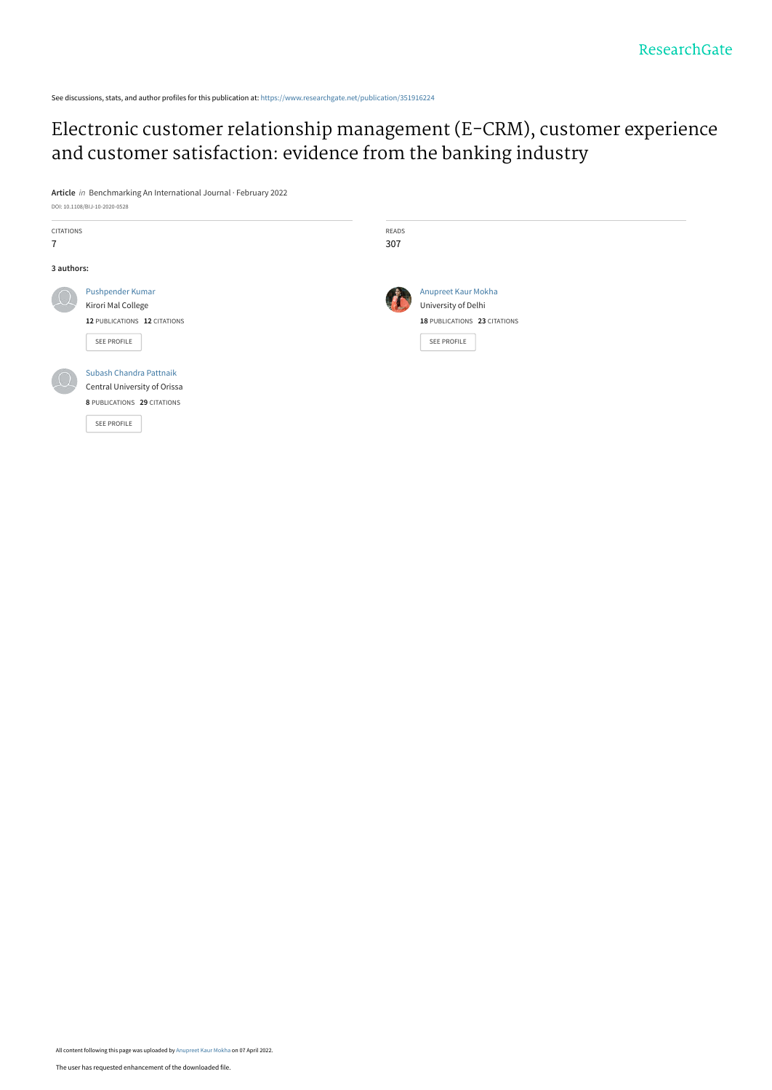See discussions, stats, and author profiles for this publication at: [https://www.researchgate.net/publication/351916224](https://www.researchgate.net/publication/351916224_Electronic_customer_relationship_management_E-CRM_customer_experience_and_customer_satisfaction_evidence_from_the_banking_industry?enrichId=rgreq-dabb2d62fff4a97d506170fa53df6144-XXX&enrichSource=Y292ZXJQYWdlOzM1MTkxNjIyNDtBUzoxMTQyMjQ2MDkxMDQyODE4QDE2NDkzNDQwOTg2NzI%3D&el=1_x_2&_esc=publicationCoverPdf)

## [Electronic customer relationship management \(E-CRM\), customer experience](https://www.researchgate.net/publication/351916224_Electronic_customer_relationship_management_E-CRM_customer_experience_and_customer_satisfaction_evidence_from_the_banking_industry?enrichId=rgreq-dabb2d62fff4a97d506170fa53df6144-XXX&enrichSource=Y292ZXJQYWdlOzM1MTkxNjIyNDtBUzoxMTQyMjQ2MDkxMDQyODE4QDE2NDkzNDQwOTg2NzI%3D&el=1_x_3&_esc=publicationCoverPdf) and customer satisfaction: evidence from the banking industry

**Article** in Benchmarking An International Journal · February 2022 DOI: 10.1108/BIJ-10-2020-0528

| <b>CITATIONS</b> |                              | READS |                              |
|------------------|------------------------------|-------|------------------------------|
| $\overline{7}$   |                              | 307   |                              |
| 3 authors:       |                              |       |                              |
|                  | Pushpender Kumar             |       | Anupreet Kaur Mokha          |
|                  | Kirori Mal College           |       | University of Delhi          |
|                  | 12 PUBLICATIONS 12 CITATIONS |       | 18 PUBLICATIONS 23 CITATIONS |
|                  | SEE PROFILE                  |       | SEE PROFILE                  |
|                  | Subash Chandra Pattnaik      |       |                              |
|                  | Central University of Orissa |       |                              |
|                  | 8 PUBLICATIONS 29 CITATIONS  |       |                              |
|                  | SEE PROFILE                  |       |                              |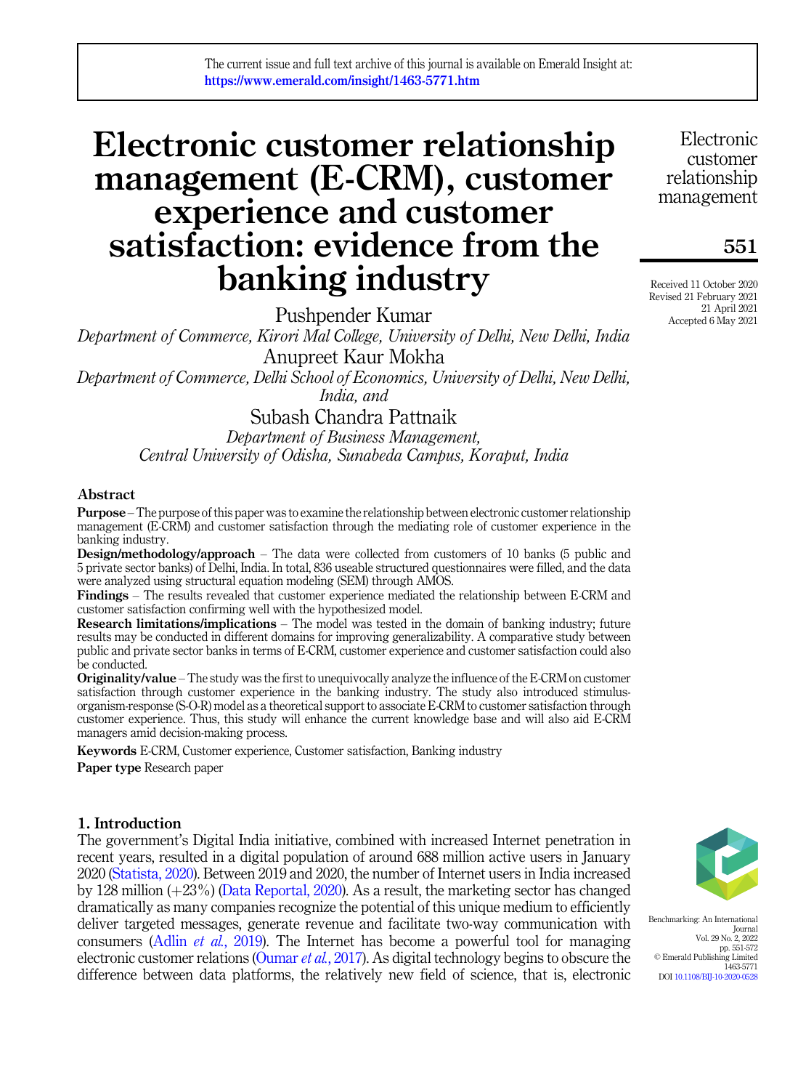# Electronic customer relationship management (E-CRM), customer experience and customer satisfaction: evidence from the banking industry

Pushpender Kumar

Department of Commerce, Kirori Mal College, University of Delhi, New Delhi, India Anupreet Kaur Mokha Department of Commerce, Delhi School of Economics, University of Delhi, New Delhi,

India, and

## Subash Chandra Pattnaik

Department of Business Management, Central University of Odisha, Sunabeda Campus, Koraput, India

#### Abstract

Purpose –The purpose of this paper was to examine the relationship between electronic customer relationship management (E-CRM) and customer satisfaction through the mediating role of customer experience in the banking industry.

Design/methodology/approach – The data were collected from customers of 10 banks (5 public and 5 private sector banks) of Delhi, India. In total, 836 useable structured questionnaires were filled, and the data were analyzed using structural equation modeling (SEM) through AMOS.

Findings – The results revealed that customer experience mediated the relationship between E-CRM and customer satisfaction confirming well with the hypothesized model.

Research limitations/implications – The model was tested in the domain of banking industry; future results may be conducted in different domains for improving generalizability. A comparative study between public and private sector banks in terms of E-CRM, customer experience and customer satisfaction could also be conducted.

Originality/value – The study was the first to unequivocally analyze the influence of the E-CRM on customer satisfaction through customer experience in the banking industry. The study also introduced stimulusorganism-response (S-O-R) model as a theoretical support to associate E-CRM to customer satisfaction through customer experience. Thus, this study will enhance the current knowledge base and will also aid E-CRM managers amid decision-making process.

Keywords E-CRM, Customer experience, Customer satisfaction, Banking industry Paper type Research paper

### 1. Introduction

The government's Digital India initiative, combined with increased Internet penetration in recent years, resulted in a digital population of around 688 million active users in January 2020 [\(Statista, 2020\)](#page-18-0). Between 2019 and 2020, the number of Internet users in India increased by 128 million  $(+23%)$  ([Data Reportal, 2020\)](#page-14-0). As a result, the marketing sector has changed dramatically as many companies recognize the potential of this unique medium to efficiently deliver targeted messages, generate revenue and facilitate two-way communication with consumers (Adlin et al.[, 2019\)](#page-14-1). The Internet has become a powerful tool for managing electronic customer relations ([Oumar](#page-17-0) et al., 2017). As digital technology begins to obscure the difference between data platforms, the relatively new field of science, that is, electronic

Benchmarking: An International Journal Vol. 29 No. 2, 2022 pp. 551-572 © Emerald Publishing Limited 1463-5771 DOI [10.1108/BIJ-10-2020-0528](https://doi.org/10.1108/BIJ-10-2020-0528)

Electronic customer relationship management

551

Received 11 October 2020 Revised 21 February 2021 21 April 2021 Accepted 6 May 2021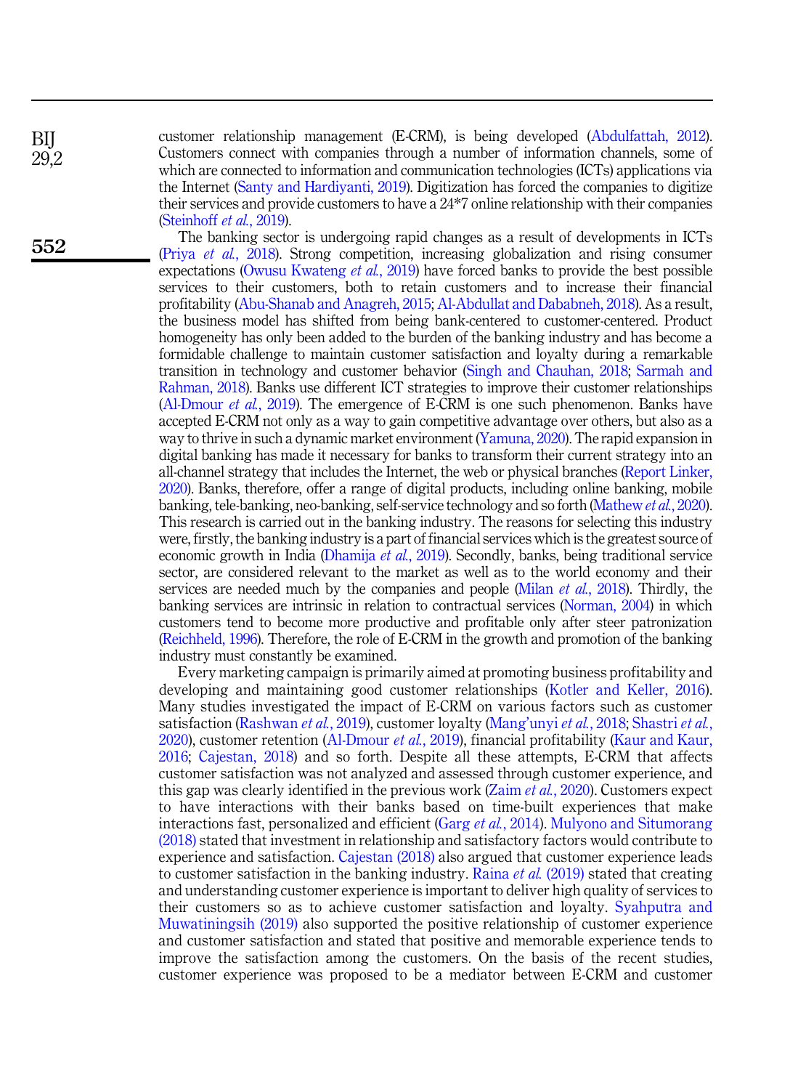BIJ 29,2

552

customer relationship management (E-CRM), is being developed [\(Abdulfattah, 2012\)](#page-14-2). Customers connect with companies through a number of information channels, some of which are connected to information and communication technologies (ICTs) applications via the Internet ([Santy and Hardiyanti, 2019\)](#page-17-1). Digitization has forced the companies to digitize their services and provide customers to have a 24\*7 online relationship with their companies ([Steinhoff](#page-18-1) et al., 2019).

The banking sector is undergoing rapid changes as a result of developments in ICTs (Priya et al.[, 2018\)](#page-17-2). Strong competition, increasing globalization and rising consumer expectations [\(Owusu Kwateng](#page-17-3) *et al.*, 2019) have forced banks to provide the best possible services to their customers, both to retain customers and to increase their financial profitability ([Abu-Shanab and Anagreh, 2015](#page-14-3); [Al-Abdullat and Dababneh, 2018\)](#page-14-4). As a result, the business model has shifted from being bank-centered to customer-centered. Product homogeneity has only been added to the burden of the banking industry and has become a formidable challenge to maintain customer satisfaction and loyalty during a remarkable transition in technology and customer behavior ([Singh and Chauhan, 2018](#page-18-2); [Sarmah and](#page-17-4) [Rahman, 2018](#page-17-4)). Banks use different ICT strategies to improve their customer relationships ([Al-Dmour](#page-14-5) et al., 2019). The emergence of E-CRM is one such phenomenon. Banks have accepted E-CRM not only as a way to gain competitive advantage over others, but also as a way to thrive in such a dynamic market environment [\(Yamuna, 2020](#page-18-3)). The rapid expansion in digital banking has made it necessary for banks to transform their current strategy into an all-channel strategy that includes the Internet, the web or physical branches [\(Report Linker,](#page-17-5) [2020\)](#page-17-5). Banks, therefore, offer a range of digital products, including online banking, mobile banking, tele-banking, neo-banking, self-service technology and so forth ([Mathew](#page-16-0) et al., 2020). This research is carried out in the banking industry. The reasons for selecting this industry were, firstly, the banking industry is a part of financial services which is the greatest source of economic growth in India ([Dhamija](#page-14-6) et al., 2019). Secondly, banks, being traditional service sector, are considered relevant to the market as well as to the world economy and their services are needed much by the companies and people (Milan et al.[, 2018\)](#page-16-1). Thirdly, the banking services are intrinsic in relation to contractual services [\(Norman, 2004\)](#page-16-2) in which customers tend to become more productive and profitable only after steer patronization ([Reichheld, 1996\)](#page-17-6). Therefore, the role of E-CRM in the growth and promotion of the banking industry must constantly be examined.

Every marketing campaign is primarily aimed at promoting business profitability and developing and maintaining good customer relationships ([Kotler and Keller, 2016\)](#page-16-3). Many studies investigated the impact of E-CRM on various factors such as customer satisfaction ([Rashwan](#page-17-7) et al., 2019), customer loyalty ([Mang](#page-16-4)'unyi et al., 2018; [Shastri](#page-17-8) et al., [2020\)](#page-17-8), customer retention ([Al-Dmour](#page-14-5) et al., 2019), financial profitability ([Kaur and Kaur,](#page-15-0) [2016;](#page-15-0) [Cajestan, 2018](#page-14-7)) and so forth. Despite all these attempts, E-CRM that affects customer satisfaction was not analyzed and assessed through customer experience, and this gap was clearly identified in the previous work (Zaim et al.[, 2020\)](#page-18-4). Customers expect to have interactions with their banks based on time-built experiences that make interactions fast, personalized and efficient (Garg *et al.*[, 2014](#page-15-1)). [Mulyono and Situmorang](#page-16-5) [\(2018\)](#page-16-5) stated that investment in relationship and satisfactory factors would contribute to experience and satisfaction. [Cajestan \(2018\)](#page-14-7) also argued that customer experience leads to customer satisfaction in the banking industry. Raina *et al.* [\(2019\)](#page-17-9) stated that creating and understanding customer experience is important to deliver high quality of services to their customers so as to achieve customer satisfaction and loyalty. [Syahputra and](#page-18-5) [Muwatiningsih \(2019\)](#page-18-5) also supported the positive relationship of customer experience and customer satisfaction and stated that positive and memorable experience tends to improve the satisfaction among the customers. On the basis of the recent studies, customer experience was proposed to be a mediator between E-CRM and customer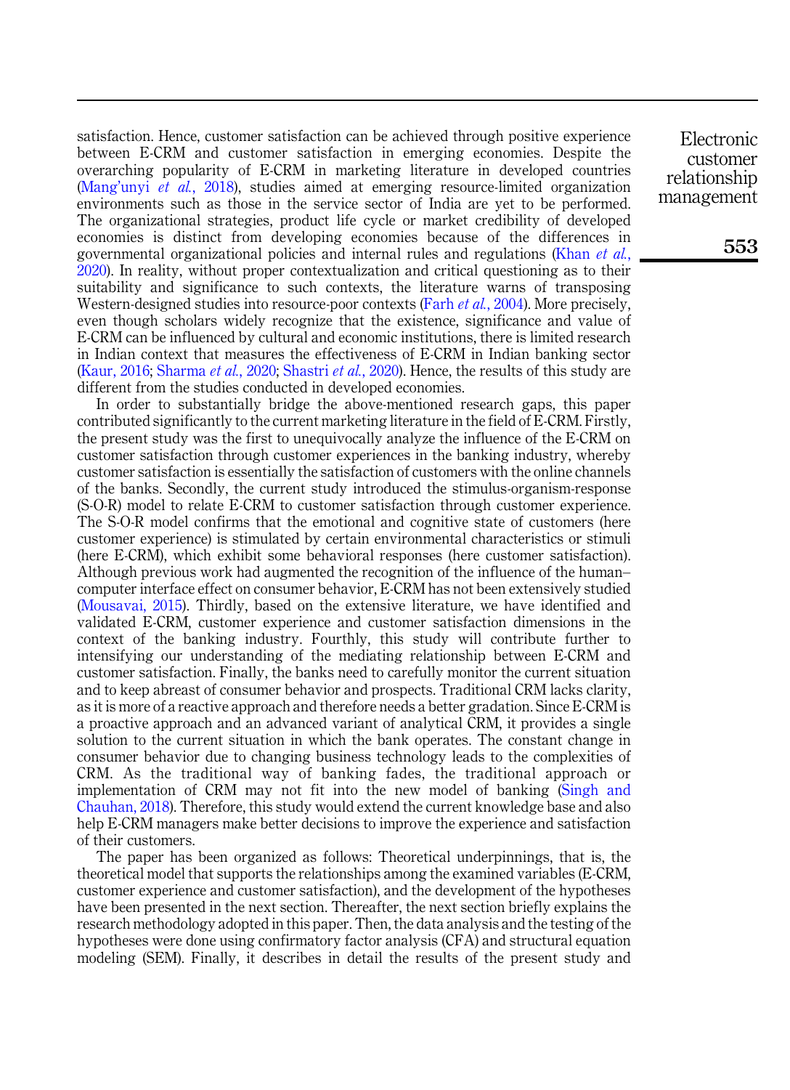satisfaction. Hence, customer satisfaction can be achieved through positive experience between E-CRM and customer satisfaction in emerging economies. Despite the overarching popularity of E-CRM in marketing literature in developed countries (Mang'unyi et al.[, 2018](#page-16-4)), studies aimed at emerging resource-limited organization environments such as those in the service sector of India are yet to be performed. The organizational strategies, product life cycle or market credibility of developed economies is distinct from developing economies because of the differences in governmental organizational policies and internal rules and regulations [\(Khan](#page-16-6) et al., [2020\)](#page-16-6). In reality, without proper contextualization and critical questioning as to their suitability and significance to such contexts, the literature warns of transposing Western-designed studies into resource-poor contexts (Farh *et al.*[, 2004](#page-15-2)). More precisely, even though scholars widely recognize that the existence, significance and value of E-CRM can be influenced by cultural and economic institutions, there is limited research in Indian context that measures the effectiveness of E-CRM in Indian banking sector ([Kaur, 2016;](#page-15-3) [Sharma](#page-17-10) *et al.*, 2020; [Shastri](#page-17-8) *et al.*, 2020). Hence, the results of this study are different from the studies conducted in developed economies.

In order to substantially bridge the above-mentioned research gaps, this paper contributed significantly to the current marketing literature in the field of E-CRM. Firstly, the present study was the first to unequivocally analyze the influence of the E-CRM on customer satisfaction through customer experiences in the banking industry, whereby customer satisfaction is essentially the satisfaction of customers with the online channels of the banks. Secondly, the current study introduced the stimulus-organism-response (S-O-R) model to relate E-CRM to customer satisfaction through customer experience. The S-O-R model confirms that the emotional and cognitive state of customers (here customer experience) is stimulated by certain environmental characteristics or stimuli (here E-CRM), which exhibit some behavioral responses (here customer satisfaction). Although previous work had augmented the recognition of the influence of the human– computer interface effect on consumer behavior, E-CRM has not been extensively studied ([Mousavai, 2015\)](#page-16-7). Thirdly, based on the extensive literature, we have identified and validated E-CRM, customer experience and customer satisfaction dimensions in the context of the banking industry. Fourthly, this study will contribute further to intensifying our understanding of the mediating relationship between E-CRM and customer satisfaction. Finally, the banks need to carefully monitor the current situation and to keep abreast of consumer behavior and prospects. Traditional CRM lacks clarity, as it is more of a reactive approach and therefore needs a better gradation. Since E-CRM is a proactive approach and an advanced variant of analytical CRM, it provides a single solution to the current situation in which the bank operates. The constant change in consumer behavior due to changing business technology leads to the complexities of CRM. As the traditional way of banking fades, the traditional approach or implementation of CRM may not fit into the new model of banking ([Singh and](#page-18-2) [Chauhan, 2018\)](#page-18-2). Therefore, this study would extend the current knowledge base and also help E-CRM managers make better decisions to improve the experience and satisfaction of their customers.

The paper has been organized as follows: Theoretical underpinnings, that is, the theoretical model that supports the relationships among the examined variables (E-CRM, customer experience and customer satisfaction), and the development of the hypotheses have been presented in the next section. Thereafter, the next section briefly explains the research methodology adopted in this paper. Then, the data analysis and the testing of the hypotheses were done using confirmatory factor analysis (CFA) and structural equation modeling (SEM). Finally, it describes in detail the results of the present study and

Electronic customer relationship management

553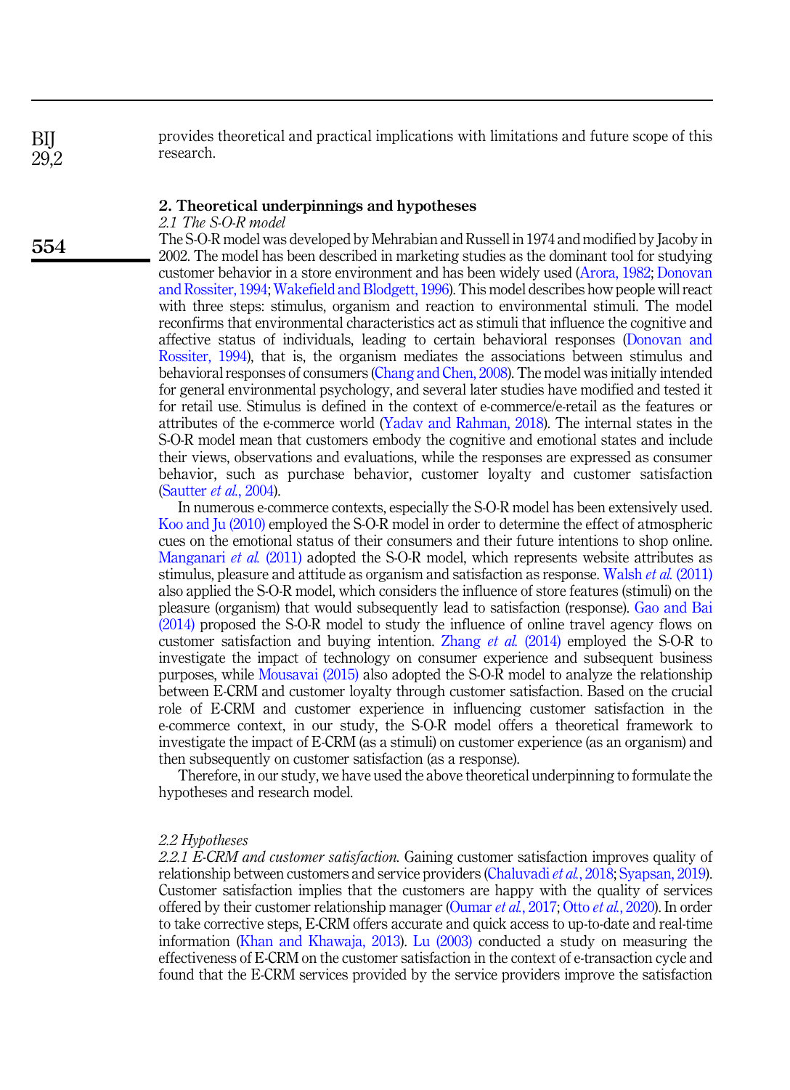provides theoretical and practical implications with limitations and future scope of this research.

#### 2. Theoretical underpinnings and hypotheses

2.1 The S-O-R model

The S-O-R model was developed by Mehrabian and Russell in 1974 and modified by Jacoby in 2002. The model has been described in marketing studies as the dominant tool for studying customer behavior in a store environment and has been widely used [\(Arora, 1982](#page-14-8); [Donovan](#page-15-4) [and Rossiter, 1994](#page-15-4); [Wakefield and Blodgett, 1996\)](#page-18-6). This model describes how people will react with three steps: stimulus, organism and reaction to environmental stimuli. The model reconfirms that environmental characteristics act as stimuli that influence the cognitive and affective status of individuals, leading to certain behavioral responses ([Donovan and](#page-15-4) [Rossiter, 1994](#page-15-4)), that is, the organism mediates the associations between stimulus and behavioral responses of consumers [\(Chang and Chen, 2008](#page-14-9)). The model was initially intended for general environmental psychology, and several later studies have modified and tested it for retail use. Stimulus is defined in the context of e-commerce/e-retail as the features or attributes of the e-commerce world ([Yadav and Rahman, 2018\)](#page-18-7). The internal states in the S-O-R model mean that customers embody the cognitive and emotional states and include their views, observations and evaluations, while the responses are expressed as consumer behavior, such as purchase behavior, customer loyalty and customer satisfaction ([Sautter](#page-17-11) et al., 2004).

In numerous e-commerce contexts, especially the S-O-R model has been extensively used. [Koo and Ju \(2010\)](#page-16-8) employed the S-O-R model in order to determine the effect of atmospheric cues on the emotional status of their consumers and their future intentions to shop online. [Manganari](#page-16-9) *et al.* (2011) adopted the S-O-R model, which represents website attributes as stimulus, pleasure and attitude as organism and satisfaction as response. [Walsh](#page-18-8) et al. (2011) also applied the S-O-R model, which considers the influence of store features (stimuli) on the pleasure (organism) that would subsequently lead to satisfaction (response). [Gao and Bai](#page-15-5) [\(2014\)](#page-15-5) proposed the S-O-R model to study the influence of online travel agency flows on customer satisfaction and buying intention. [Zhang](#page-18-9) *et al.* (2014) employed the S-O-R to investigate the impact of technology on consumer experience and subsequent business purposes, while [Mousavai \(2015\)](#page-16-7) also adopted the S-O-R model to analyze the relationship between E-CRM and customer loyalty through customer satisfaction. Based on the crucial role of E-CRM and customer experience in influencing customer satisfaction in the e-commerce context, in our study, the S-O-R model offers a theoretical framework to investigate the impact of E-CRM (as a stimuli) on customer experience (as an organism) and then subsequently on customer satisfaction (as a response).

Therefore, in our study, we have used the above theoretical underpinning to formulate the hypotheses and research model.

#### 2.2 Hypotheses

2.2.1 E-CRM and customer satisfaction. Gaining customer satisfaction improves quality of relationship between customers and service providers ([Chaluvadi](#page-14-10) *et al.*, 2018; [Syapsan, 2019\)](#page-18-10). Customer satisfaction implies that the customers are happy with the quality of services offered by their customer relationship manager ([Oumar](#page-17-0) et al., 2017; Otto et al.[, 2020\)](#page-16-10). In order to take corrective steps, E-CRM offers accurate and quick access to up-to-date and real-time information [\(Khan and Khawaja, 2013](#page-15-6)). [Lu \(2003\)](#page-16-11) conducted a study on measuring the effectiveness of E-CRM on the customer satisfaction in the context of e-transaction cycle and found that the E-CRM services provided by the service providers improve the satisfaction

554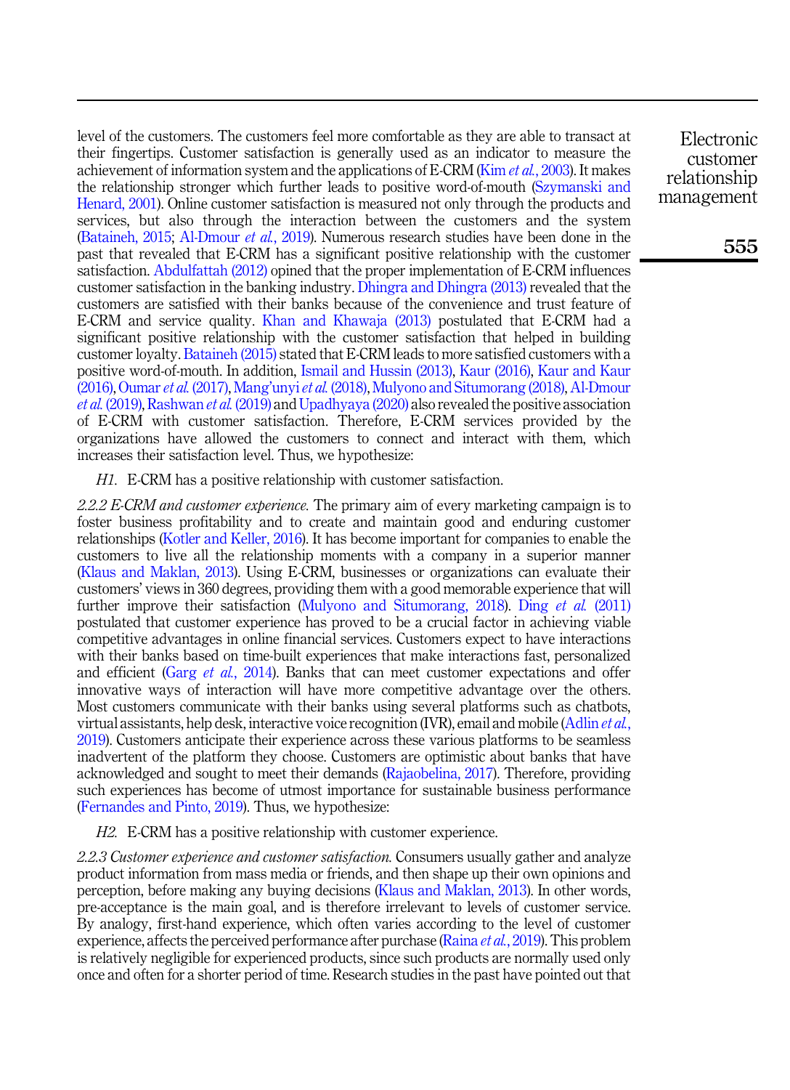level of the customers. The customers feel more comfortable as they are able to transact at their fingertips. Customer satisfaction is generally used as an indicator to measure the achievement of information system and the applications of E-CRM (Kim et al.[, 2003\)](#page-16-12). It makes the relationship stronger which further leads to positive word-of-mouth [\(Szymanski and](#page-18-11) [Henard, 2001](#page-18-11)). Online customer satisfaction is measured not only through the products and services, but also through the interaction between the customers and the system ([Bataineh, 2015](#page-14-11); [Al-Dmour](#page-14-5) *et al.*, 2019). Numerous research studies have been done in the past that revealed that E-CRM has a significant positive relationship with the customer satisfaction. [Abdulfattah \(2012\)](#page-14-2) opined that the proper implementation of E-CRM influences customer satisfaction in the banking industry. [Dhingra and Dhingra \(2013\)](#page-15-7) revealed that the customers are satisfied with their banks because of the convenience and trust feature of E-CRM and service quality. [Khan and Khawaja \(2013\)](#page-15-6) postulated that E-CRM had a significant positive relationship with the customer satisfaction that helped in building customer loyalty. [Bataineh \(2015\)](#page-14-11) stated that E-CRM leads to more satisfied customers with a positive word-of-mouth. In addition, [Ismail and Hussin \(2013\),](#page-15-8) [Kaur \(2016\)](#page-15-3), [Kaur and Kaur](#page-15-0) [\(2016\),](#page-15-0) [Oumar](#page-17-0) et al. (2017), Mang'unyi et al. [\(2018\)](#page-16-4), [Mulyono and Situmorang \(2018\),](#page-16-5) [Al-Dmour](#page-14-5) et al. [\(2019\),](#page-14-5) [Rashwan](#page-17-7) et al. (2019) and [Upadhyaya \(2020\)](#page-18-12) also revealed the positive association of E-CRM with customer satisfaction. Therefore, E-CRM services provided by the organizations have allowed the customers to connect and interact with them, which increases their satisfaction level. Thus, we hypothesize:

<span id="page-5-0"></span>H1. E-CRM has a positive relationship with customer satisfaction.

2.2.2 E-CRM and customer experience. The primary aim of every marketing campaign is to foster business profitability and to create and maintain good and enduring customer relationships ([Kotler and Keller, 2016\)](#page-16-3). It has become important for companies to enable the customers to live all the relationship moments with a company in a superior manner ([Klaus and Maklan, 2013](#page-16-13)). Using E-CRM, businesses or organizations can evaluate their customers' views in 360 degrees, providing them with a good memorable experience that will further improve their satisfaction ([Mulyono and Situmorang, 2018](#page-16-5)). Ding et al. [\(2011\)](#page-15-9) postulated that customer experience has proved to be a crucial factor in achieving viable competitive advantages in online financial services. Customers expect to have interactions with their banks based on time-built experiences that make interactions fast, personalized and efficient (Garg et al.[, 2014](#page-15-1)). Banks that can meet customer expectations and offer innovative ways of interaction will have more competitive advantage over the others. Most customers communicate with their banks using several platforms such as chatbots, virtual assistants, help desk, interactive voice recognition (IVR), email and mobile ([Adlin](#page-14-1) et al., [2019\)](#page-14-1). Customers anticipate their experience across these various platforms to be seamless inadvertent of the platform they choose. Customers are optimistic about banks that have acknowledged and sought to meet their demands [\(Rajaobelina, 2017](#page-17-12)). Therefore, providing such experiences has become of utmost importance for sustainable business performance ([Fernandes and Pinto, 2019\)](#page-15-10). Thus, we hypothesize:

<span id="page-5-1"></span>H2. E-CRM has a positive relationship with customer experience.

2.2.3 Customer experience and customer satisfaction. Consumers usually gather and analyze product information from mass media or friends, and then shape up their own opinions and perception, before making any buying decisions [\(Klaus and Maklan, 2013](#page-16-13)). In other words, pre-acceptance is the main goal, and is therefore irrelevant to levels of customer service. By analogy, first-hand experience, which often varies according to the level of customer experience, affects the perceived performance after purchase ([Raina](#page-17-9) *et al.*, 2019). This problem is relatively negligible for experienced products, since such products are normally used only once and often for a shorter period of time. Research studies in the past have pointed out that

Electronic customer relationship management

555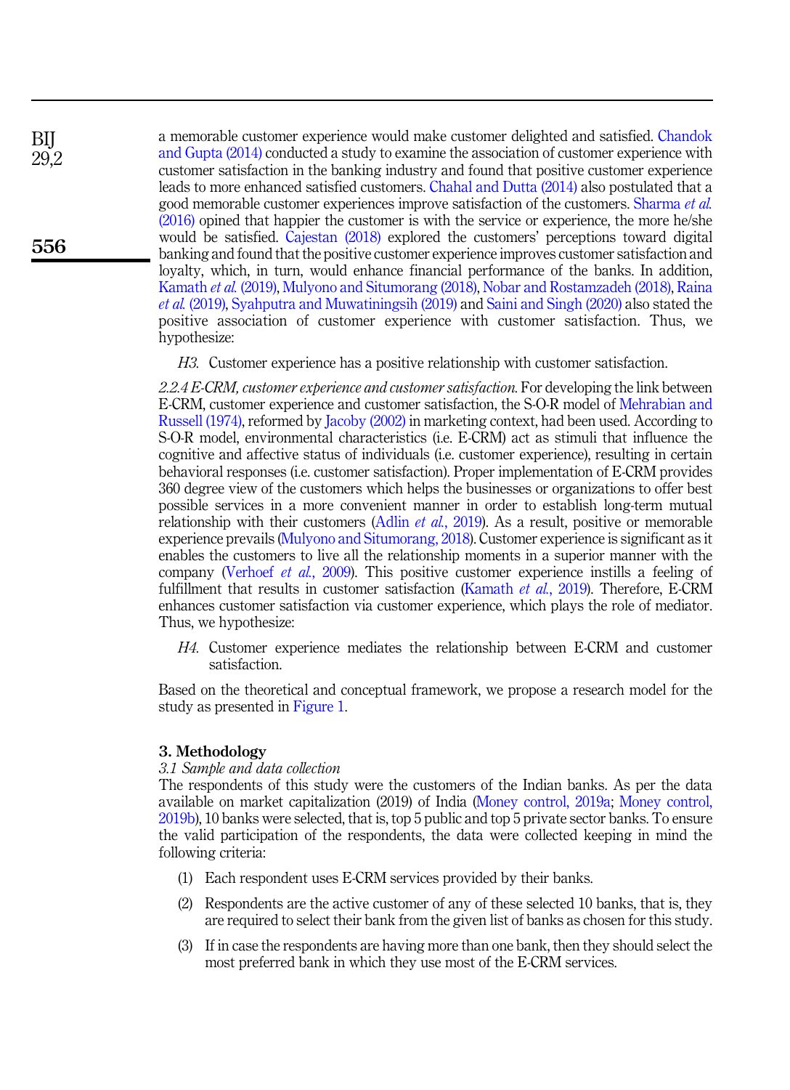a memorable customer experience would make customer delighted and satisfied. [Chandok](#page-14-12) [and Gupta \(2014\)](#page-14-12) conducted a study to examine the association of customer experience with customer satisfaction in the banking industry and found that positive customer experience leads to more enhanced satisfied customers. [Chahal and Dutta \(2014\)](#page-14-13) also postulated that a good memorable customer experiences improve satisfaction of the customers. [Sharma](#page-17-13) et al. [\(2016\)](#page-17-13) opined that happier the customer is with the service or experience, the more he/she would be satisfied. [Cajestan \(2018\)](#page-14-7) explored the customers' perceptions toward digital banking and found that the positive customer experience improves customer satisfaction and loyalty, which, in turn, would enhance financial performance of the banks. In addition, [Kamath](#page-15-11) et al. (2019), [Mulyono and Situmorang \(2018\),](#page-16-5) [Nobar and Rostamzadeh \(2018\)](#page-16-14), [Raina](#page-17-9) et al. [\(2019\),](#page-17-9) [Syahputra and Muwatiningsih \(2019\)](#page-18-5) and [Saini and Singh \(2020\)](#page-17-14) also stated the positive association of customer experience with customer satisfaction. Thus, we hypothesize:

<span id="page-6-0"></span>H3. Customer experience has a positive relationship with customer satisfaction.

2.2.4 E-CRM, customer experience and customer satisfaction. For developing the link between E-CRM, customer experience and customer satisfaction, the S-O-R model of [Mehrabian and](#page-16-15) [Russell \(1974\)](#page-16-15), reformed by [Jacoby \(2002\)](#page-15-12) in marketing context, had been used. According to S-O-R model, environmental characteristics (i.e. E-CRM) act as stimuli that influence the cognitive and affective status of individuals (i.e. customer experience), resulting in certain behavioral responses (i.e. customer satisfaction). Proper implementation of E-CRM provides 360 degree view of the customers which helps the businesses or organizations to offer best possible services in a more convenient manner in order to establish long-term mutual relationship with their customers (Adlin *et al.*[, 2019\)](#page-14-1). As a result, positive or memorable experience prevails ([Mulyono and Situmorang, 2018](#page-16-5)). Customer experience is significant as it enables the customers to live all the relationship moments in a superior manner with the company [\(Verhoef](#page-18-13) et al., 2009). This positive customer experience instills a feeling of fulfillment that results in customer satisfaction [\(Kamath](#page-15-11) et al., 2019). Therefore, E-CRM enhances customer satisfaction via customer experience, which plays the role of mediator. Thus, we hypothesize:

<span id="page-6-1"></span>H4. Customer experience mediates the relationship between E-CRM and customer satisfaction.

Based on the theoretical and conceptual framework, we propose a research model for the study as presented in [Figure 1](#page-7-0).

#### 3. Methodology

#### 3.1 Sample and data collection

The respondents of this study were the customers of the Indian banks. As per the data available on market capitalization (2019) of India ([Money control, 2019a;](#page-16-16) [Money control,](#page-16-17) [2019b\)](#page-16-17), 10 banks were selected, that is, top 5 public and top 5 private sector banks. To ensure the valid participation of the respondents, the data were collected keeping in mind the following criteria:

- (1) Each respondent uses E-CRM services provided by their banks.
- (2) Respondents are the active customer of any of these selected 10 banks, that is, they are required to select their bank from the given list of banks as chosen for this study.
- (3) If in case the respondents are having more than one bank, then they should select the most preferred bank in which they use most of the E-CRM services.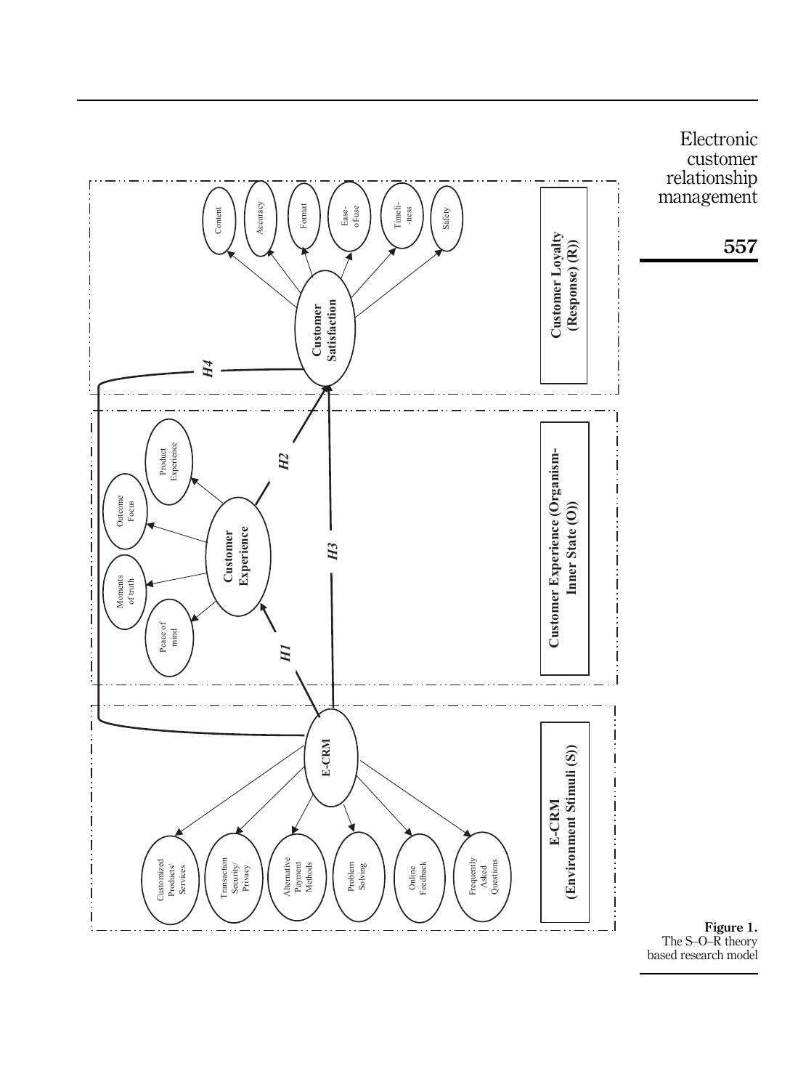<span id="page-7-0"></span>

The S – O –R theory based research model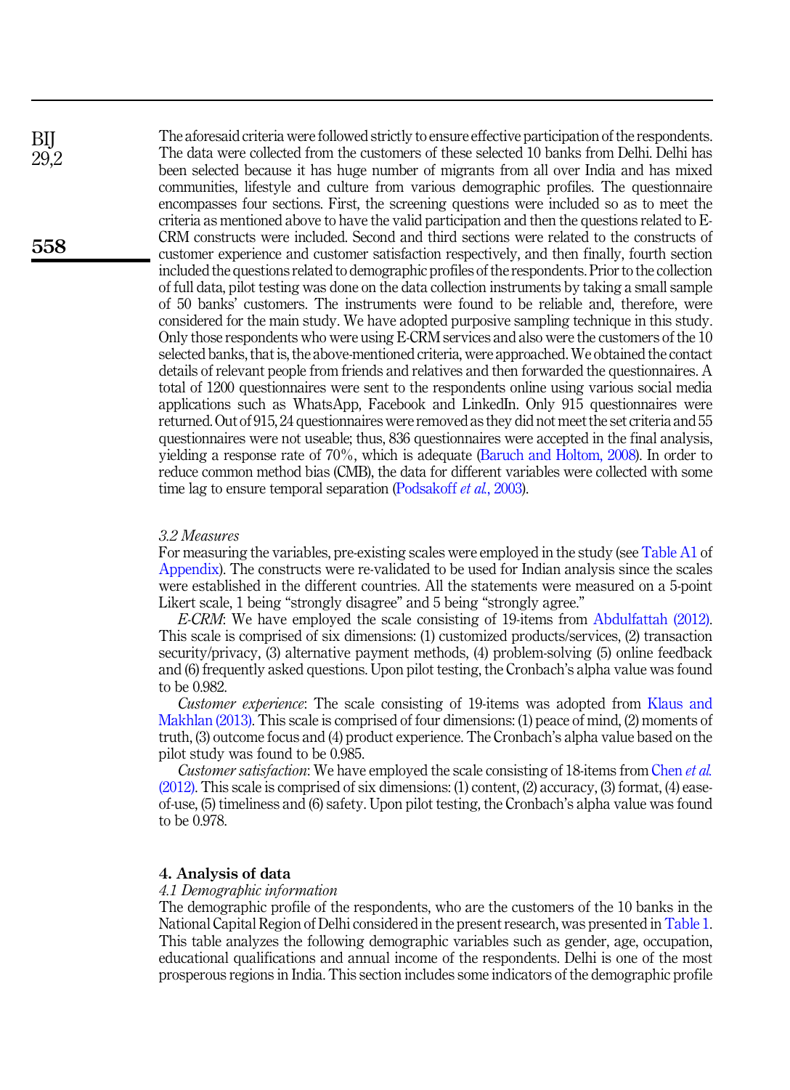The aforesaid criteria were followed strictly to ensure effective participation of the respondents. The data were collected from the customers of these selected 10 banks from Delhi. Delhi has been selected because it has huge number of migrants from all over India and has mixed communities, lifestyle and culture from various demographic profiles. The questionnaire encompasses four sections. First, the screening questions were included so as to meet the criteria as mentioned above to have the valid participation and then the questions related to E-CRM constructs were included. Second and third sections were related to the constructs of customer experience and customer satisfaction respectively, and then finally, fourth section included the questions related to demographic profiles of the respondents. Prior to the collection of full data, pilot testing was done on the data collection instruments by taking a small sample of 50 banks' customers. The instruments were found to be reliable and, therefore, were considered for the main study. We have adopted purposive sampling technique in this study. Only those respondents who were using E-CRM services and also were the customers of the 10 selected banks, that is, the above-mentioned criteria, were approached. We obtained the contact details of relevant people from friends and relatives and then forwarded the questionnaires. A total of 1200 questionnaires were sent to the respondents online using various social media applications such as WhatsApp, Facebook and LinkedIn. Only 915 questionnaires were returned. Out of 915, 24 questionnaires were removed as they did not meet the set criteria and 55 questionnaires were not useable; thus, 836 questionnaires were accepted in the final analysis, yielding a response rate of 70%, which is adequate [\(Baruch and Holtom, 2008\)](#page-14-14). In order to reduce common method bias (CMB), the data for different variables were collected with some time lag to ensure temporal separation ([Podsakoff](#page-17-15) *et al.*, 2003).

#### 3.2 Measures

For measuring the variables, pre-existing scales were employed in the study (see [Table A1](#page-20-0) of [Appendix\)](#page-20-1). The constructs were re-validated to be used for Indian analysis since the scales were established in the different countries. All the statements were measured on a 5-point Likert scale, 1 being "strongly disagree" and 5 being "strongly agree."

E-CRM: We have employed the scale consisting of 19-items from [Abdulfattah \(2012\)](#page-14-2). This scale is comprised of six dimensions: (1) customized products/services, (2) transaction security/privacy, (3) alternative payment methods, (4) problem-solving (5) online feedback and (6) frequently asked questions. Upon pilot testing, the Cronbach's alpha value was found to be 0.982.

Customer experience: The scale consisting of 19-items was adopted from [Klaus and](#page-16-13) [Makhlan \(2013\)](#page-16-13). This scale is comprised of four dimensions: (1) peace of mind, (2) moments of truth, (3) outcome focus and (4) product experience. The Cronbach's alpha value based on the pilot study was found to be 0.985.

Customer satisfaction: We have employed the scale consisting of 18-items from [Chen](#page-14-15) et al.  $(2012)$ . This scale is comprised of six dimensions: (1) content, (2) accuracy, (3) format, (4) easeof-use, (5) timeliness and (6) safety. Upon pilot testing, the Cronbach's alpha value was found to be 0.978.

#### 4. Analysis of data

#### 4.1 Demographic information

The demographic profile of the respondents, who are the customers of the 10 banks in the National Capital Region of Delhi considered in the present research, was presented in [Table 1](#page-9-0). This table analyzes the following demographic variables such as gender, age, occupation, educational qualifications and annual income of the respondents. Delhi is one of the most prosperous regions in India. This section includes some indicators of the demographic profile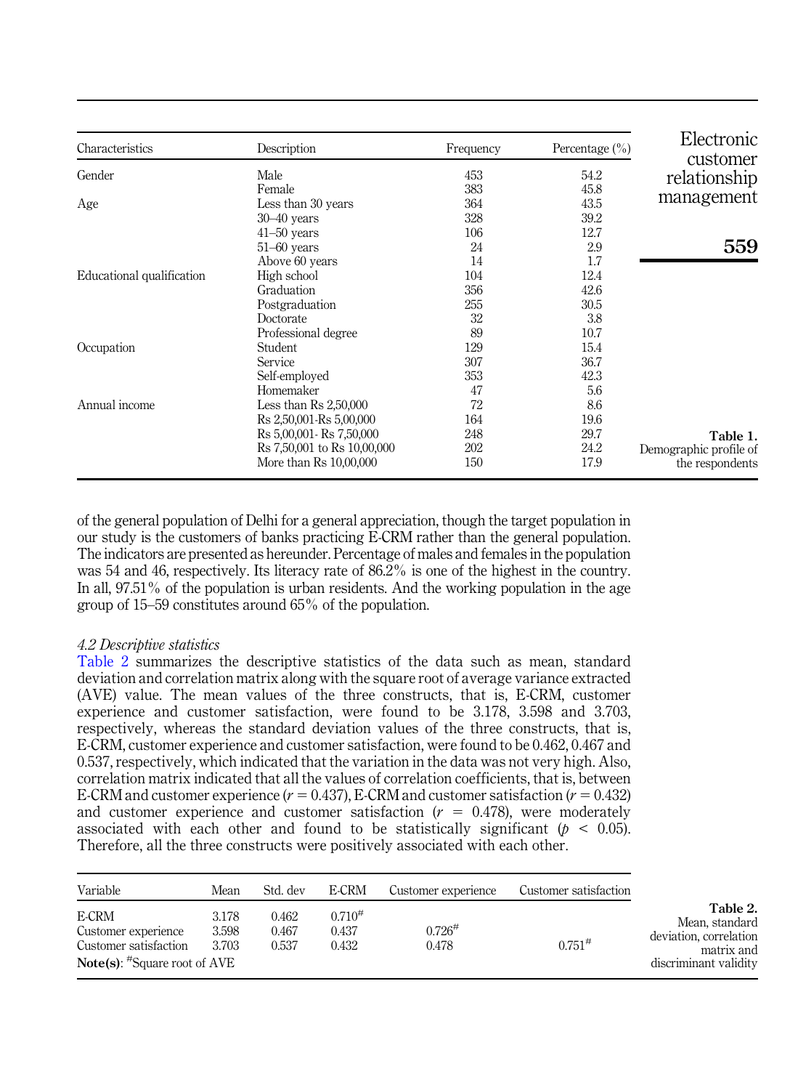<span id="page-9-0"></span>

| Characteristics           | Description                     | Frequency | Percentage $(\% )$ | Electronic<br>customer |
|---------------------------|---------------------------------|-----------|--------------------|------------------------|
| Gender                    | Male                            | 453       | 54.2               | relationship           |
|                           | Female                          | 383       | 45.8               |                        |
| Age                       | Less than 30 years              | 364       | 43.5               | management             |
|                           | $30 - 40$ years                 | 328       | 39.2               |                        |
|                           | $41-50$ years                   | 106       | 12.7               |                        |
|                           | $51-60$ years                   | 24        | 2.9                | 559                    |
|                           | Above 60 years                  | 14        | 1.7                |                        |
| Educational qualification | High school                     | 104       | 12.4               |                        |
|                           | Graduation                      | 356       | 42.6               |                        |
|                           | Postgraduation                  | 255       | 30.5               |                        |
|                           | Doctorate                       | 32        | 3.8                |                        |
|                           | Professional degree             | 89        | 10.7               |                        |
| Occupation                | Student                         | 129       | 15.4               |                        |
|                           | Service                         | 307       | 36.7               |                        |
|                           | Self-employed                   | 353       | 42.3               |                        |
|                           | Homemaker                       | 47        | 5.6                |                        |
| Annual income             | Less than $\text{Rs } 2,50,000$ | 72        | 8.6                |                        |
|                           | Rs 2,50,001-Rs 5,00,000         | 164       | 19.6               |                        |
|                           | Rs 5,00,001 - Rs 7,50,000       | 248       | 29.7               | Table 1.               |
|                           | Rs 7,50,001 to Rs 10,00,000     | 202       | 24.2               | Demographic profile of |
|                           | More than Rs 10,00,000          | 150       | 17.9               | the respondents        |

of the general population of Delhi for a general appreciation, though the target population in our study is the customers of banks practicing E-CRM rather than the general population. The indicators are presented as hereunder. Percentage of males and females in the population was 54 and 46, respectively. Its literacy rate of 86.2% is one of the highest in the country. In all, 97.51% of the population is urban residents. And the working population in the age group of 15–59 constitutes around 65% of the population.

#### 4.2 Descriptive statistics

Table 2 summarizes the descriptive statistics of the data such as mean, standard deviation and correlation matrix along with the square root of average variance extracted (AVE) value. The mean values of the three constructs, that is, E-CRM, customer experience and customer satisfaction, were found to be 3.178, 3.598 and 3.703, respectively, whereas the standard deviation values of the three constructs, that is, E-CRM, customer experience and customer satisfaction, were found to be 0.462, 0.467 and 0.537, respectively, which indicated that the variation in the data was not very high. Also, correlation matrix indicated that all the values of correlation coefficients, that is, between E-CRM and customer experience ( $r = 0.437$ ), E-CRM and customer satisfaction ( $r = 0.432$ ) and customer experience and customer satisfaction  $(r = 0.478)$ , were moderately associated with each other and found to be statistically significant ( $p < 0.05$ ). Therefore, all the three constructs were positively associated with each other.

| Variable                                                                                        | Mean                    | Std. dev                | E-CRM                         | Customer experience            | Customer satisfaction |
|-------------------------------------------------------------------------------------------------|-------------------------|-------------------------|-------------------------------|--------------------------------|-----------------------|
| E-CRM<br>Customer experience<br>Customer satisfaction<br><b>Note(s):</b> $*$ Square root of AVE | 3.178<br>3.598<br>3.703 | 0.462<br>0.467<br>0.537 | $0.710^{#}$<br>0.437<br>0.432 | $0.726^{\texttt{\#}}$<br>0.478 | $0.751^{#}$           |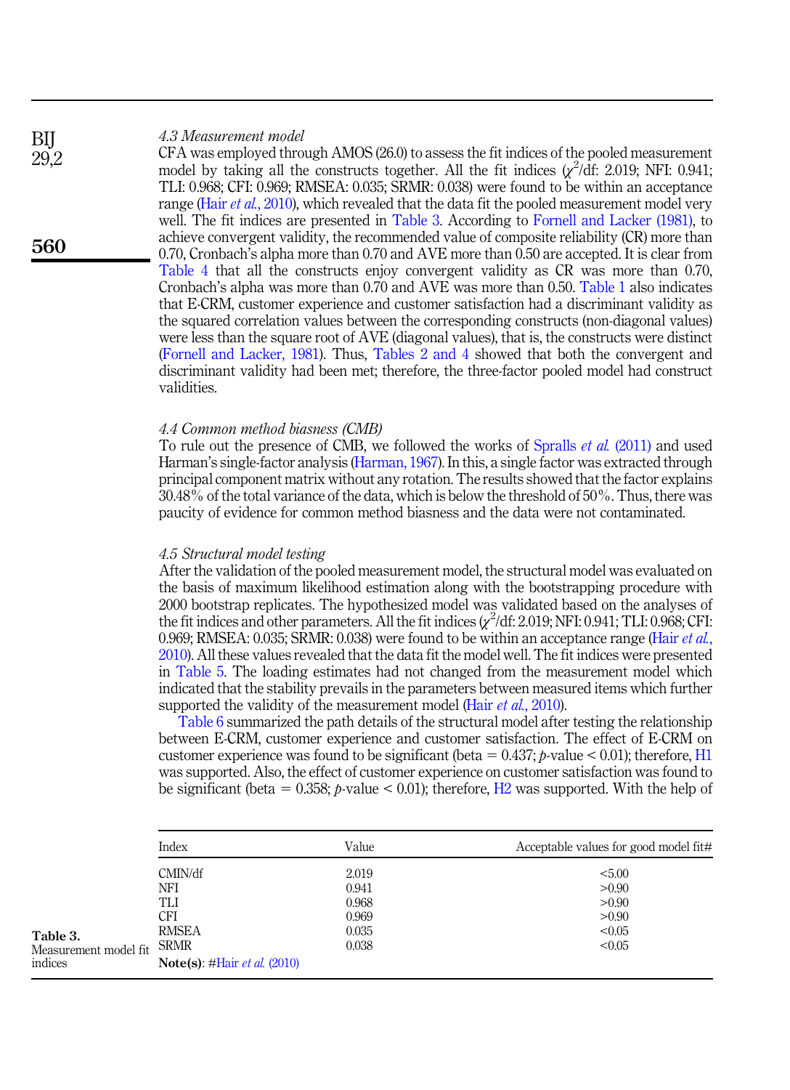#### 4.3 Measurement model

CFA was employed through AMOS (26.0) to assess the fit indices of the pooled measurement model by taking all the constructs together. All the fit indices  $\chi^2/\text{d}$ f: 2.019; NFI: 0.941; TLI: 0.968; CFI: 0.969; RMSEA: 0.035; SRMR: 0.038) were found to be within an acceptance range (Hair et al.[, 2010\)](#page-15-13), which revealed that the data fit the pooled measurement model very well. The fit indices are presented in Table 3. According to [Fornell and Lacker \(1981\),](#page-15-14) to achieve convergent validity, the recommended value of composite reliability (CR) more than 0.70, Cronbach's alpha more than 0.70 and AVE more than 0.50 are accepted. It is clear from [Table 4](#page-11-0) that all the constructs enjoy convergent validity as CR was more than 0.70, Cronbach's alpha was more than 0.70 and AVE was more than 0.50. [Table 1](#page-9-0) also indicates that E-CRM, customer experience and customer satisfaction had a discriminant validity as the squared correlation values between the corresponding constructs (non-diagonal values) were less than the square root of AVE (diagonal values), that is, the constructs were distinct ([Fornell and Lacker, 1981\)](#page-15-14). Thus, [Tables 2 and 4](#page-9-0) showed that both the convergent and discriminant validity had been met; therefore, the three-factor pooled model had construct validities.

#### 4.4 Common method biasness (CMB)

To rule out the presence of CMB, we followed the works of [Spralls](#page-18-14) et al. (2011) and used Harman's single-factor analysis [\(Harman, 1967\)](#page-15-15). In this, a single factor was extracted through principal component matrix without any rotation. The results showed that the factor explains 30.48% of the total variance of the data, which is below the threshold of 50%. Thus, there was paucity of evidence for common method biasness and the data were not contaminated.

#### 4.5 Structural model testing

After the validation of the pooled measurement model, the structural model was evaluated on the basis of maximum likelihood estimation along with the bootstrapping procedure with 2000 bootstrap replicates. The hypothesized model was validated based on the analyses of the fit indices and other parameters. All the fit indices  $\chi^2$ /df: 2.019; NFI: 0.941; TLI: 0.968; CFI: 0.969; RMSEA: 0.035; SRMR: 0.038) were found to be within an acceptance range [\(Hair](#page-15-13) *et al.*, [2010\)](#page-15-13). All these values revealed that the data fit the model well. The fit indices were presented in [Table 5.](#page-11-0) The loading estimates had not changed from the measurement model which indicated that the stability prevails in the parameters between measured items which further supported the validity of the measurement model (Hair *et al.*[, 2010\)](#page-15-13).

[Table 6](#page-11-0) summarized the path details of the structural model after testing the relationship between E-CRM, customer experience and customer satisfaction. The effect of E-CRM on customer experience was found to be significant (beta =  $0.437$ ; p-value < 0.01); therefore, [H1](#page-5-0) was supported. Also, the effect of customer experience on customer satisfaction was found to be significant (beta = 0.358; *p*-value < 0.01); therefore, H<sub>2</sub> was supported. With the help of

|                                              | Index                                                                                                       | Value                                              | Acceptable values for good model fit#                 |
|----------------------------------------------|-------------------------------------------------------------------------------------------------------------|----------------------------------------------------|-------------------------------------------------------|
| Table 3.<br>Measurement model fit<br>indices | CMIN/df<br>NFI<br>TLI<br><b>CFI</b><br><b>RMSEA</b><br><b>SRMR</b><br>Note(s): #Hair <i>et al.</i> $(2010)$ | 2.019<br>0.941<br>0.968<br>0.969<br>0.035<br>0.038 | < 5.00<br>>0.90<br>>0.90<br>>0.90<br>< 0.05<br>< 0.05 |

560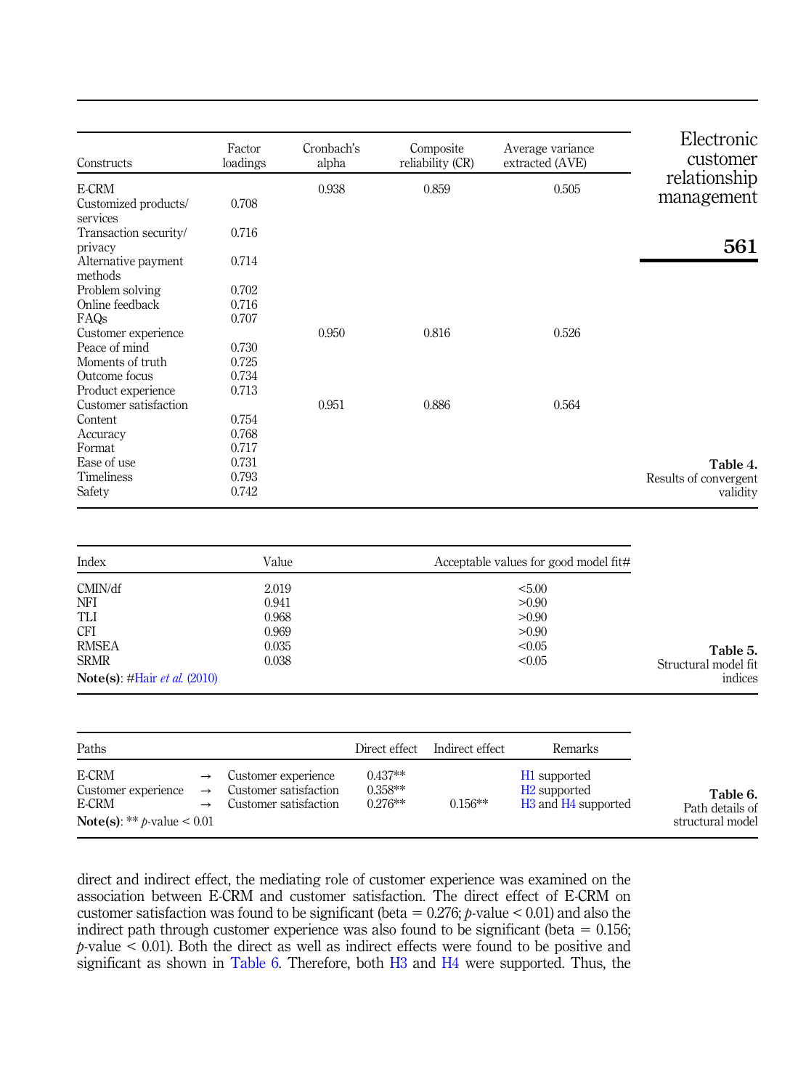<span id="page-11-0"></span>

| Constructs                       | Factor<br>loadings                     | Cronbach's<br>alpha |               | Composite<br>reliability (CR) | Average variance<br>extracted (AVE)         | Electronic<br>customer |
|----------------------------------|----------------------------------------|---------------------|---------------|-------------------------------|---------------------------------------------|------------------------|
| E-CRM                            |                                        | 0.938               |               | 0.859                         | 0.505                                       | relationship           |
| Customized products/<br>services | 0.708                                  |                     |               |                               |                                             | management             |
| Transaction security/<br>privacy | 0.716                                  |                     |               |                               |                                             | 561                    |
| Alternative payment<br>methods   | 0.714                                  |                     |               |                               |                                             |                        |
| Problem solving                  | 0.702                                  |                     |               |                               |                                             |                        |
| Online feedback                  | 0.716                                  |                     |               |                               |                                             |                        |
| FAQs                             | 0.707                                  |                     |               |                               |                                             |                        |
| Customer experience              |                                        | 0.950               |               | 0.816                         | 0.526                                       |                        |
| Peace of mind                    | 0.730                                  |                     |               |                               |                                             |                        |
| Moments of truth                 | 0.725                                  |                     |               |                               |                                             |                        |
| Outcome focus                    | 0.734                                  |                     |               |                               |                                             |                        |
| Product experience               | 0.713                                  |                     |               |                               |                                             |                        |
| Customer satisfaction            |                                        | 0.951               |               | 0.886                         | 0.564                                       |                        |
| Content                          | 0.754                                  |                     |               |                               |                                             |                        |
| Accuracy                         | 0.768                                  |                     |               |                               |                                             |                        |
| Format                           | 0.717                                  |                     |               |                               |                                             |                        |
| Ease of use                      | 0.731                                  |                     |               |                               |                                             | Table 4.               |
| Timeliness                       | 0.793                                  |                     |               |                               |                                             | Results of convergent  |
| Safety                           | 0.742                                  |                     |               |                               |                                             | validity               |
|                                  |                                        |                     |               |                               |                                             |                        |
| Index                            | Value                                  |                     |               |                               | Acceptable values for good model fit#       |                        |
| CMIN/df                          | 2.019                                  |                     |               |                               | < 5.00                                      |                        |
| NFI                              | 0.941                                  |                     |               |                               | >0.90<br>>0.90                              |                        |
| TLI<br>CFI                       | 0.968<br>0.969                         |                     |               |                               | >0.90                                       |                        |
| <b>RMSEA</b>                     | 0.035                                  |                     |               |                               | < 0.05                                      |                        |
| <b>SRMR</b>                      | 0.038                                  |                     |               |                               | < 0.05                                      | Table 5.               |
|                                  |                                        |                     |               |                               |                                             | Structural model fit   |
| Note(s): #Hair et al. (2010)     |                                        |                     |               |                               |                                             | indices                |
|                                  |                                        |                     |               |                               |                                             |                        |
| Paths                            |                                        |                     | Direct effect | Indirect effect               | Remarks                                     |                        |
| E-CRM                            | Customer experience<br>$\rightarrow$   |                     | $0.437**$     |                               | H1 supported                                |                        |
| Customer experience              | Customer satisfaction<br>$\rightarrow$ |                     | $0.358**$     |                               | H <sub>2</sub> supported                    | Table 6.               |
| E-CRM                            | Customer satisfaction<br>$\rightarrow$ |                     | 0.276**       | $0.156**$                     | H <sub>3</sub> and H <sub>4</sub> supported | Path details of        |

Path details of structural model

direct and indirect effect, the mediating role of customer experience was examined on the association between E-CRM and customer satisfaction. The direct effect of E-CRM on customer satisfaction was found to be significant (beta =  $0.276$ ; p-value < 0.01) and also the indirect path through customer experience was also found to be significant (beta  $= 0.156$ ;  $p$ -value  $\leq$  0.01). Both the direct as well as indirect effects were found to be positive and significant as shown in Table 6. Therefore, both [H3](#page-6-0) and [H4](#page-6-1) were supported. Thus, the

Note(s):  $**$  p-value < 0.01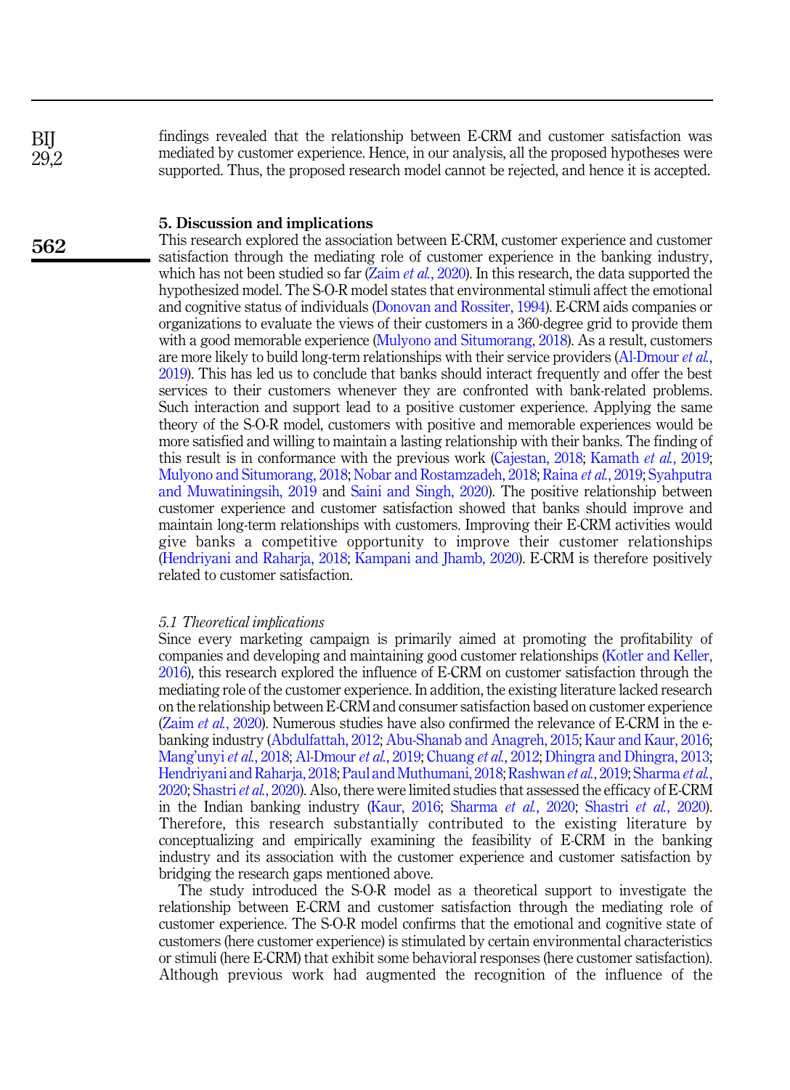findings revealed that the relationship between E-CRM and customer satisfaction was mediated by customer experience. Hence, in our analysis, all the proposed hypotheses were supported. Thus, the proposed research model cannot be rejected, and hence it is accepted.

#### 5. Discussion and implications

This research explored the association between E-CRM, customer experience and customer satisfaction through the mediating role of customer experience in the banking industry, which has not been studied so far  $(Zaim et al., 2020)$  $(Zaim et al., 2020)$ . In this research, the data supported the hypothesized model. The S-O-R model states that environmental stimuli affect the emotional and cognitive status of individuals ([Donovan and Rossiter, 1994\)](#page-15-4). E-CRM aids companies or organizations to evaluate the views of their customers in a 360-degree grid to provide them with a good memorable experience [\(Mulyono and Situmorang, 2018](#page-16-5)). As a result, customers are more likely to build long-term relationships with their service providers [\(Al-Dmour](#page-14-5) *et al.*, [2019\)](#page-14-5). This has led us to conclude that banks should interact frequently and offer the best services to their customers whenever they are confronted with bank-related problems. Such interaction and support lead to a positive customer experience. Applying the same theory of the S-O-R model, customers with positive and memorable experiences would be more satisfied and willing to maintain a lasting relationship with their banks. The finding of this result is in conformance with the previous work ([Cajestan, 2018](#page-14-7); [Kamath](#page-15-11) et al., 2019; [Mulyono and Situmorang, 2018](#page-16-5); [Nobar and Rostamzadeh, 2018](#page-16-14); [Raina](#page-17-9) et al., 2019; [Syahputra](#page-18-5) [and Muwatiningsih, 2019](#page-18-5) and [Saini and Singh, 2020](#page-17-14)). The positive relationship between customer experience and customer satisfaction showed that banks should improve and maintain long-term relationships with customers. Improving their E-CRM activities would give banks a competitive opportunity to improve their customer relationships ([Hendriyani and Raharja, 2018;](#page-15-16) [Kampani and Jhamb, 2020\)](#page-15-17). E-CRM is therefore positively related to customer satisfaction.

#### 5.1 Theoretical implications

Since every marketing campaign is primarily aimed at promoting the profitability of companies and developing and maintaining good customer relationships ([Kotler and Keller,](#page-16-3) [2016\)](#page-16-3), this research explored the influence of E-CRM on customer satisfaction through the mediating role of the customer experience. In addition, the existing literature lacked research on the relationship between E-CRM and consumer satisfaction based on customer experience (Zaim *et al.*[, 2020](#page-18-4)). Numerous studies have also confirmed the relevance of E-CRM in the ebanking industry [\(Abdulfattah, 2012](#page-14-2); [Abu-Shanab and Anagreh, 2015;](#page-14-3) [Kaur and Kaur, 2016](#page-15-0); [Mang](#page-16-4)'unyi et al., 2018; [Al-Dmour](#page-14-5) et al., 2019; [Chuang](#page-14-16) et al., 2012; [Dhingra and Dhingra, 2013](#page-15-7); [Hendriyani and Raharja, 2018](#page-15-16); [Paul and Muthumani, 2018](#page-17-16); [Rashwan](#page-17-7) et al., 2019; [Sharma](#page-17-10) et al., [2020;](#page-17-10) [Shastri](#page-17-8)et al., 2020). Also, there were limited studies that assessed the efficacy of E-CRM in the Indian banking industry ([Kaur, 2016](#page-15-3); [Sharma](#page-17-10) et al., 2020; [Shastri](#page-17-8) et al., 2020). Therefore, this research substantially contributed to the existing literature by conceptualizing and empirically examining the feasibility of E-CRM in the banking industry and its association with the customer experience and customer satisfaction by bridging the research gaps mentioned above.

The study introduced the S-O-R model as a theoretical support to investigate the relationship between E-CRM and customer satisfaction through the mediating role of customer experience. The S-O-R model confirms that the emotional and cognitive state of customers (here customer experience) is stimulated by certain environmental characteristics or stimuli (here E-CRM) that exhibit some behavioral responses (here customer satisfaction). Although previous work had augmented the recognition of the influence of the

562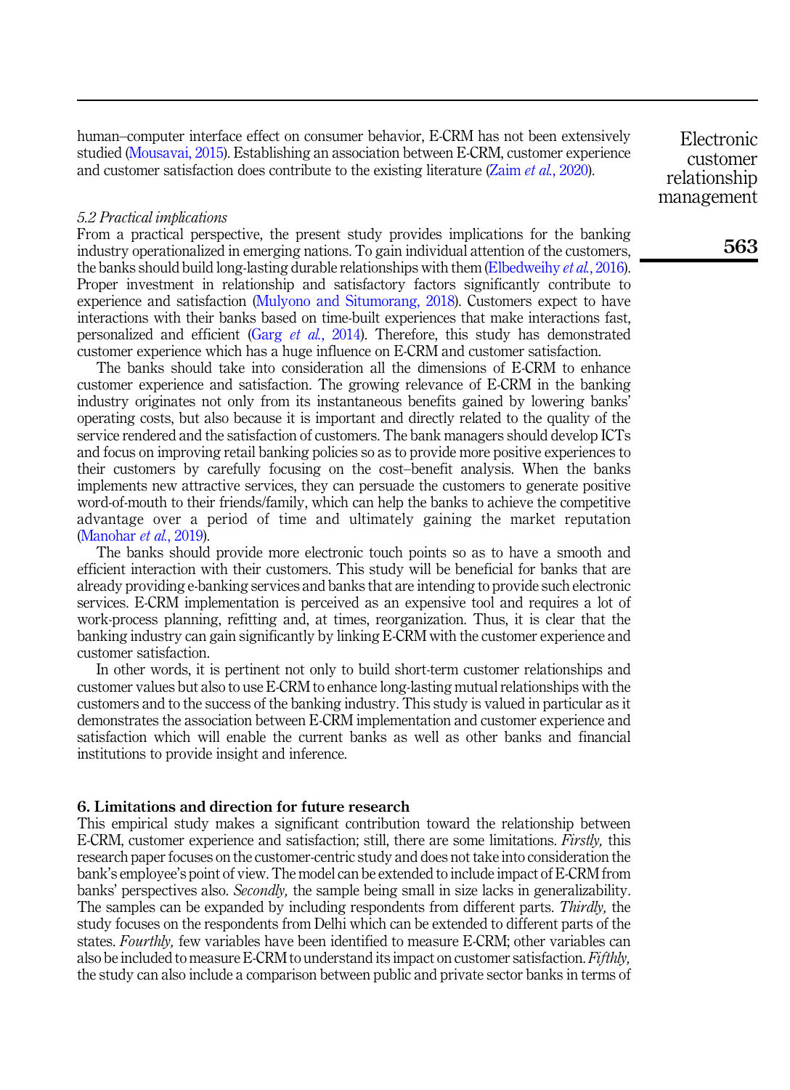human–computer interface effect on consumer behavior, E-CRM has not been extensively studied ([Mousavai, 2015\)](#page-16-7). Establishing an association between E-CRM, customer experience and customer satisfaction does contribute to the existing literature (Zaim et al.[, 2020](#page-18-4)).

## customer relationship management

Electronic

#### 5.2 Practical implications

From a practical perspective, the present study provides implications for the banking industry operationalized in emerging nations. To gain individual attention of the customers, the banks should build long-lasting durable relationships with them [\(Elbedweihy](#page-15-18) et al., 2016). Proper investment in relationship and satisfactory factors significantly contribute to experience and satisfaction [\(Mulyono and Situmorang, 2018\)](#page-16-5). Customers expect to have interactions with their banks based on time-built experiences that make interactions fast, personalized and efficient (Garg et al.[, 2014](#page-15-1)). Therefore, this study has demonstrated customer experience which has a huge influence on E-CRM and customer satisfaction.

The banks should take into consideration all the dimensions of E-CRM to enhance customer experience and satisfaction. The growing relevance of E-CRM in the banking industry originates not only from its instantaneous benefits gained by lowering banks' operating costs, but also because it is important and directly related to the quality of the service rendered and the satisfaction of customers. The bank managers should develop ICTs and focus on improving retail banking policies so as to provide more positive experiences to their customers by carefully focusing on the cost–benefit analysis. When the banks implements new attractive services, they can persuade the customers to generate positive word-of-mouth to their friends/family, which can help the banks to achieve the competitive advantage over a period of time and ultimately gaining the market reputation ([Manohar](#page-16-18) et al., 2019).

The banks should provide more electronic touch points so as to have a smooth and efficient interaction with their customers. This study will be beneficial for banks that are already providing e-banking services and banks that are intending to provide such electronic services. E-CRM implementation is perceived as an expensive tool and requires a lot of work-process planning, refitting and, at times, reorganization. Thus, it is clear that the banking industry can gain significantly by linking E-CRM with the customer experience and customer satisfaction.

In other words, it is pertinent not only to build short-term customer relationships and customer values but also to use E-CRM to enhance long-lasting mutual relationships with the customers and to the success of the banking industry. This study is valued in particular as it demonstrates the association between E-CRM implementation and customer experience and satisfaction which will enable the current banks as well as other banks and financial institutions to provide insight and inference.

#### 6. Limitations and direction for future research

This empirical study makes a significant contribution toward the relationship between E-CRM, customer experience and satisfaction; still, there are some limitations. *Firstly*, this research paper focuses on the customer-centric study and does not take into consideration the bank's employee's point of view. The model can be extended to include impact of E-CRM from banks' perspectives also. Secondly, the sample being small in size lacks in generalizability. The samples can be expanded by including respondents from different parts. Thirdly, the study focuses on the respondents from Delhi which can be extended to different parts of the states. *Fourthly*, few variables have been identified to measure E-CRM; other variables can also be included to measure E-CRM to understand its impact on customer satisfaction. Fifthly, the study can also include a comparison between public and private sector banks in terms of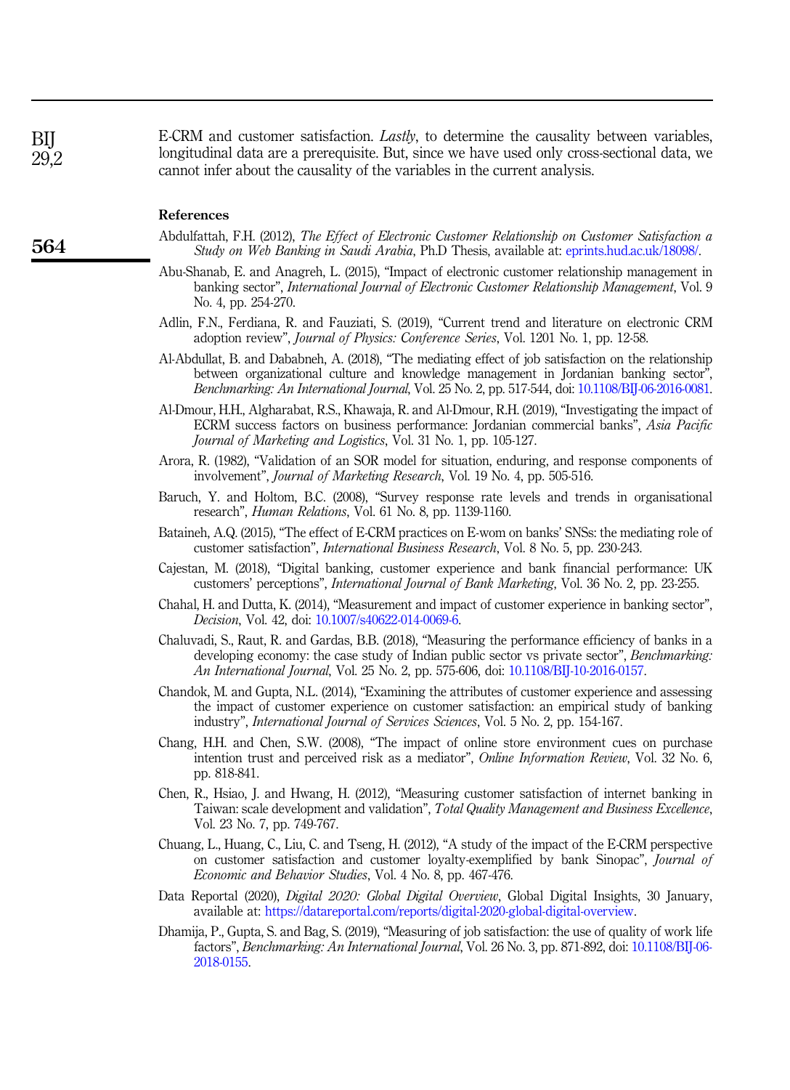E-CRM and customer satisfaction. *Lastly*, to determine the causality between variables, longitudinal data are a prerequisite. But, since we have used only cross-sectional data, we cannot infer about the causality of the variables in the current analysis.

#### References

- <span id="page-14-2"></span>Abdulfattah, F.H. (2012), The Effect of Electronic Customer Relationship on Customer Satisfaction a Study on Web Banking in Saudi Arabia, Ph.D Thesis, available at: [eprints.hud.ac.uk/18098/](http://eprints.hud.ac.uk/18098/).
- <span id="page-14-3"></span>Abu-Shanab, E. and Anagreh, L. (2015), "Impact of electronic customer relationship management in banking sector", International Journal of Electronic Customer Relationship Management, Vol. 9 No. 4, pp. 254-270.
- <span id="page-14-1"></span>Adlin, F.N., Ferdiana, R. and Fauziati, S. (2019), "Current trend and literature on electronic CRM adoption review", Journal of Physics: Conference Series, Vol. 1201 No. 1, pp. 12-58.
- <span id="page-14-4"></span>Al-Abdullat, B. and Dababneh, A. (2018), "The mediating effect of job satisfaction on the relationship between organizational culture and knowledge management in Jordanian banking sector", Benchmarking: An International Journal, Vol. 25 No. 2, pp. 517-544, doi: [10.1108/BIJ-06-2016-0081](https://doi.org/10.1108/BIJ-06-2016-0081).
- <span id="page-14-5"></span>Al-Dmour, H.H., Algharabat, R.S., Khawaja, R. and Al-Dmour, R.H. (2019), "Investigating the impact of ECRM success factors on business performance: Jordanian commercial banks", Asia Pacific Journal of Marketing and Logistics, Vol. 31 No. 1, pp. 105-127.
- <span id="page-14-8"></span>Arora, R. (1982), "Validation of an SOR model for situation, enduring, and response components of involvement", Journal of Marketing Research, Vol. 19 No. 4, pp. 505-516.
- <span id="page-14-14"></span>Baruch, Y. and Holtom, B.C. (2008), "Survey response rate levels and trends in organisational research", Human Relations, Vol. 61 No. 8, pp. 1139-1160.
- <span id="page-14-11"></span>Bataineh, A.Q. (2015), "The effect of E-CRM practices on E-wom on banks' SNSs: the mediating role of customer satisfaction", International Business Research, Vol. 8 No. 5, pp. 230-243.
- <span id="page-14-7"></span>Cajestan, M. (2018), "Digital banking, customer experience and bank financial performance: UK customers' perceptions", International Journal of Bank Marketing, Vol. 36 No. 2, pp. 23-255.
- <span id="page-14-13"></span>Chahal, H. and Dutta, K. (2014), "Measurement and impact of customer experience in banking sector", Decision, Vol. 42, doi: [10.1007/s40622-014-0069-6](https://doi.org/10.1007/s40622-014-0069-6).
- <span id="page-14-10"></span>Chaluvadi, S., Raut, R. and Gardas, B.B. (2018), "Measuring the performance efficiency of banks in a developing economy: the case study of Indian public sector vs private sector", *Benchmarking*: An International Journal, Vol. 25 No. 2, pp. 575-606, doi: [10.1108/BIJ-10-2016-0157](https://doi.org/10.1108/BIJ-10-2016-0157).
- <span id="page-14-12"></span>Chandok, M. and Gupta, N.L. (2014), "Examining the attributes of customer experience and assessing the impact of customer experience on customer satisfaction: an empirical study of banking industry", International Journal of Services Sciences, Vol. 5 No. 2, pp. 154-167.
- <span id="page-14-9"></span>Chang, H.H. and Chen, S.W. (2008), "The impact of online store environment cues on purchase intention trust and perceived risk as a mediator", Online Information Review, Vol. 32 No. 6, pp. 818-841.
- <span id="page-14-15"></span>Chen, R., Hsiao, J. and Hwang, H. (2012), "Measuring customer satisfaction of internet banking in Taiwan: scale development and validation", Total Quality Management and Business Excellence, Vol. 23 No. 7, pp. 749-767.
- <span id="page-14-16"></span>Chuang, L., Huang, C., Liu, C. and Tseng, H. (2012), "A study of the impact of the E-CRM perspective on customer satisfaction and customer loyalty-exemplified by bank Sinopac", *Journal of* Economic and Behavior Studies, Vol. 4 No. 8, pp. 467-476.
- <span id="page-14-0"></span>Data Reportal (2020), Digital 2020: Global Digital Overview, Global Digital Insights, 30 January, available at: [https://datareportal.com/reports/digital-2020-global-digital-overview.](https://datareportal.com/reports/digital-2020-global-digital-overview)
- <span id="page-14-6"></span>Dhamija, P., Gupta, S. and Bag, S. (2019), "Measuring of job satisfaction: the use of quality of work life factors", Benchmarking: An International Journal, Vol. 26 No. 3, pp. 871-892, doi: [10.1108/BIJ-06-](https://doi.org/10.1108/BIJ-06-2018-0155) [2018-0155.](https://doi.org/10.1108/BIJ-06-2018-0155)

BIJ  $29.2$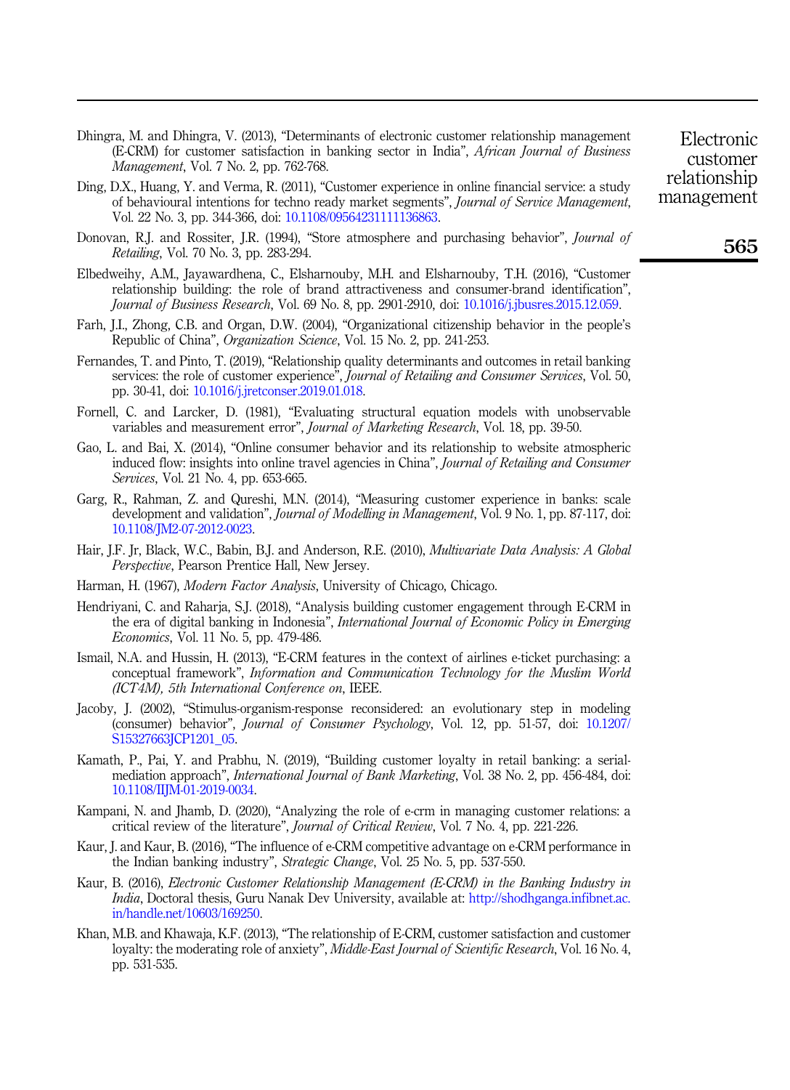- <span id="page-15-7"></span>Dhingra, M. and Dhingra, V. (2013), "Determinants of electronic customer relationship management (E-CRM) for customer satisfaction in banking sector in India", African Journal of Business Management, Vol. 7 No. 2, pp. 762-768.
- <span id="page-15-9"></span>Ding, D.X., Huang, Y. and Verma, R. (2011), "Customer experience in online financial service: a study of behavioural intentions for techno ready market segments", Journal of Service Management, Vol. 22 No. 3, pp. 344-366, doi: [10.1108/09564231111136863.](https://doi.org/10.1108/09564231111136863)
- <span id="page-15-4"></span>Donovan, R.J. and Rossiter, J.R. (1994), "Store atmosphere and purchasing behavior", *Journal of* Retailing, Vol. 70 No. 3, pp. 283-294.
- <span id="page-15-18"></span>Elbedweihy, A.M., Jayawardhena, C., Elsharnouby, M.H. and Elsharnouby, T.H. (2016), "Customer relationship building: the role of brand attractiveness and consumer-brand identification", Journal of Business Research, Vol. 69 No. 8, pp. 2901-2910, doi: [10.1016/j.jbusres.2015.12.059.](https://doi.org/10.1016/j.jbusres.2015.12.059)
- <span id="page-15-2"></span>Farh, J.I., Zhong, C.B. and Organ, D.W. (2004), "Organizational citizenship behavior in the people's Republic of China", Organization Science, Vol. 15 No. 2, pp. 241-253.
- <span id="page-15-10"></span>Fernandes, T. and Pinto, T. (2019), "Relationship quality determinants and outcomes in retail banking services: the role of customer experience", Journal of Retailing and Consumer Services, Vol. 50, pp. 30-41, doi: [10.1016/j.jretconser.2019.01.018.](https://doi.org/10.1016/j.jretconser.2019.01.018)
- <span id="page-15-14"></span>Fornell, C. and Larcker, D. (1981), "Evaluating structural equation models with unobservable variables and measurement error", Journal of Marketing Research, Vol. 18, pp. 39-50.
- <span id="page-15-5"></span>Gao, L. and Bai, X. (2014), "Online consumer behavior and its relationship to website atmospheric induced flow: insights into online travel agencies in China", Journal of Retailing and Consumer Services, Vol. 21 No. 4, pp. 653-665.
- <span id="page-15-1"></span>Garg, R., Rahman, Z. and Qureshi, M.N. (2014), "Measuring customer experience in banks: scale development and validation", Journal of Modelling in Management, Vol. 9 No. 1, pp. 87-117, doi: [10.1108/JM2-07-2012-0023.](https://doi.org/10.1108/JM2-07-2012-0023)
- <span id="page-15-13"></span>Hair, J.F. Jr, Black, W.C., Babin, B.J. and Anderson, R.E. (2010), *Multivariate Data Analysis: A Global* Perspective, Pearson Prentice Hall, New Jersey.
- <span id="page-15-15"></span>Harman, H. (1967), Modern Factor Analysis, University of Chicago, Chicago.
- <span id="page-15-16"></span>Hendriyani, C. and Raharja, S.J. (2018), "Analysis building customer engagement through E-CRM in the era of digital banking in Indonesia", *International Journal of Economic Policy in Emerging* Economics, Vol. 11 No. 5, pp. 479-486.
- <span id="page-15-8"></span>Ismail, N.A. and Hussin, H. (2013), "E-CRM features in the context of airlines e-ticket purchasing: a conceptual framework", Information and Communication Technology for the Muslim World (ICT4M), 5th International Conference on, IEEE.
- <span id="page-15-12"></span>Jacoby, J. (2002), "Stimulus-organism-response reconsidered: an evolutionary step in modeling (consumer) behavior", Journal of Consumer Psychology, Vol. 12, pp. 51-57, doi: [10.1207/](https://doi.org/10.1207/S15327663JCP1201_05) [S15327663JCP1201\\_05.](https://doi.org/10.1207/S15327663JCP1201_05)
- <span id="page-15-11"></span>Kamath, P., Pai, Y. and Prabhu, N. (2019), "Building customer loyalty in retail banking: a serialmediation approach", International Journal of Bank Marketing, Vol. 38 No. 2, pp. 456-484, doi: [10.1108/IIJM-01-2019-0034.](https://doi.org/10.1108/IIJM-01-2019-0034)
- <span id="page-15-17"></span>Kampani, N. and Jhamb, D. (2020), "Analyzing the role of e-crm in managing customer relations: a critical review of the literature", Journal of Critical Review, Vol. 7 No. 4, pp. 221-226.
- <span id="page-15-0"></span>Kaur, J. and Kaur, B. (2016), "The influence of e-CRM competitive advantage on e-CRM performance in the Indian banking industry", Strategic Change, Vol. 25 No. 5, pp. 537-550.
- <span id="page-15-3"></span>Kaur, B. (2016), Electronic Customer Relationship Management (E-CRM) in the Banking Industry in India, Doctoral thesis, Guru Nanak Dev University, available at: [http://shodhganga.infibnet.ac.](http://shodhganga.infibnet.ac.in/handle.net/10603/169250) [in/handle.net/10603/169250](http://shodhganga.infibnet.ac.in/handle.net/10603/169250).
- <span id="page-15-6"></span>Khan, M.B. and Khawaja, K.F. (2013), "The relationship of E-CRM, customer satisfaction and customer loyalty: the moderating role of anxiety", *Middle-East Journal of Scientific Research*, Vol. 16 No. 4, pp. 531-535.

Electronic customer relationship management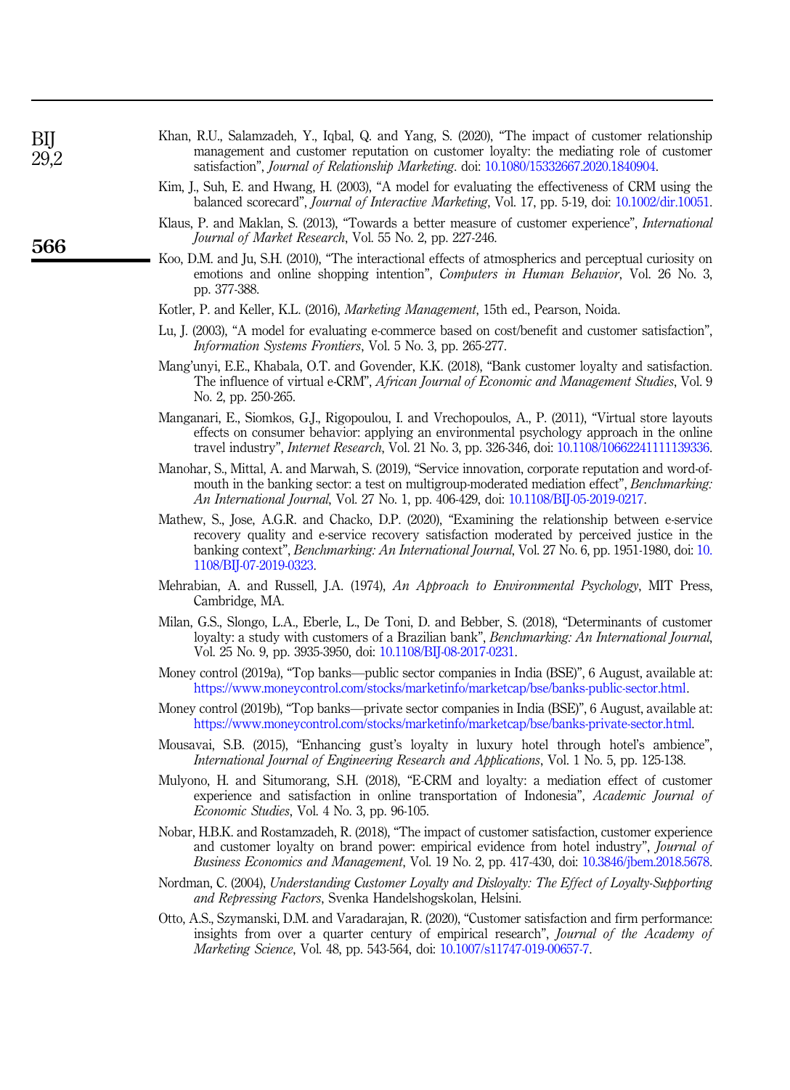<span id="page-16-6"></span>

| Khan, R.U., Salamzadeh, Y., Igbal, Q. and Yang, S. (2020), "The impact of customer relationship |  |
|-------------------------------------------------------------------------------------------------|--|
| management and customer reputation on customer lovalty: the mediating role of customer          |  |
| satisfaction", <i>Journal of Relationship Marketing</i> , doi: 10.1080/15332667.2020.1840904.   |  |

- <span id="page-16-12"></span>Kim, J., Suh, E. and Hwang, H. (2003), "A model for evaluating the effectiveness of CRM using the balanced scorecard", Journal of Interactive Marketing, Vol. 17, pp. 5-19, doi: [10.1002/dir.10051](https://doi.org/10.1002/dir.10051).
- <span id="page-16-13"></span>Klaus, P. and Maklan, S. (2013), "Towards a better measure of customer experience", International Journal of Market Research, Vol. 55 No. 2, pp. 227-246.
- <span id="page-16-8"></span>Koo, D.M. and Ju, S.H. (2010), "The interactional effects of atmospherics and perceptual curiosity on emotions and online shopping intention", *Computers in Human Behavior*, Vol. 26 No. 3, pp. 377-388.
- <span id="page-16-3"></span>Kotler, P. and Keller, K.L. (2016), Marketing Management, 15th ed., Pearson, Noida.
- <span id="page-16-11"></span>Lu, J. (2003), "A model for evaluating e-commerce based on cost/benefit and customer satisfaction", Information Systems Frontiers, Vol. 5 No. 3, pp. 265-277.
- <span id="page-16-4"></span>Mang'unyi, E.E., Khabala, O.T. and Govender, K.K. (2018), "Bank customer loyalty and satisfaction. The influence of virtual e-CRM", African Journal of Economic and Management Studies, Vol. 9 No. 2, pp. 250-265.
- <span id="page-16-9"></span>Manganari, E., Siomkos, G.J., Rigopoulou, I. and Vrechopoulos, A., P. (2011), "Virtual store layouts effects on consumer behavior: applying an environmental psychology approach in the online travel industry", *Internet Research*, Vol. 21 No. 3, pp. 326-346, doi: [10.1108/10662241111139336](https://doi.org/10.1108/10662241111139336).
- <span id="page-16-18"></span>Manohar, S., Mittal, A. and Marwah, S. (2019), "Service innovation, corporate reputation and word-ofmouth in the banking sector: a test on multigroup-moderated mediation effect", *Benchmarking*: An International Journal, Vol. 27 No. 1, pp. 406-429, doi: [10.1108/BIJ-05-2019-0217](https://doi.org/10.1108/BIJ-05-2019-0217).
- <span id="page-16-0"></span>Mathew, S., Jose, A.G.R. and Chacko, D.P. (2020), "Examining the relationship between e-service recovery quality and e-service recovery satisfaction moderated by perceived justice in the banking context", Benchmarking: An International Journal, Vol. 27 No. 6, pp. 1951-1980, doi: [10.](https://doi.org/10.1108/BIJ-07-2019-0323) [1108/BIJ-07-2019-0323.](https://doi.org/10.1108/BIJ-07-2019-0323)
- <span id="page-16-15"></span>Mehrabian, A. and Russell, J.A. (1974), An Approach to Environmental Psychology, MIT Press, Cambridge, MA.
- <span id="page-16-1"></span>Milan, G.S., Slongo, L.A., Eberle, L., De Toni, D. and Bebber, S. (2018), "Determinants of customer loyalty: a study with customers of a Brazilian bank", Benchmarking: An International Journal, Vol. 25 No. 9, pp. 3935-3950, doi: [10.1108/BIJ-08-2017-0231.](https://doi.org/10.1108/BIJ-08-2017-0231)
- <span id="page-16-16"></span>Money control (2019a), "Top banks—public sector companies in India (BSE)", 6 August, available at: [https://www.moneycontrol.com/stocks/marketinfo/marketcap/bse/banks-public-sector.html.](https://www.moneycontrol.com/stocks/marketinfo/marketcap/bse/banks-public-sector.html)
- <span id="page-16-17"></span>Money control (2019b), "Top banks—private sector companies in India (BSE)", 6 August, available at: <https://www.moneycontrol.com/stocks/marketinfo/marketcap/bse/banks-private-sector.html>.
- <span id="page-16-7"></span>Mousavai, S.B. (2015), "Enhancing gust's loyalty in luxury hotel through hotel's ambience", International Journal of Engineering Research and Applications, Vol. 1 No. 5, pp. 125-138.
- <span id="page-16-5"></span>Mulyono, H. and Situmorang, S.H. (2018), "E-CRM and loyalty: a mediation effect of customer experience and satisfaction in online transportation of Indonesia", Academic Journal of Economic Studies, Vol. 4 No. 3, pp. 96-105.
- <span id="page-16-14"></span>Nobar, H.B.K. and Rostamzadeh, R. (2018), "The impact of customer satisfaction, customer experience and customer loyalty on brand power: empirical evidence from hotel industry", Journal of Business Economics and Management, Vol. 19 No. 2, pp. 417-430, doi: [10.3846/jbem.2018.5678](https://doi.org/10.3846/jbem.2018.5678).
- <span id="page-16-2"></span>Nordman, C. (2004), Understanding Customer Loyalty and Disloyalty: The Effect of Loyalty-Supporting and Repressing Factors, Svenka Handelshogskolan, Helsini.
- <span id="page-16-10"></span>Otto, A.S., Szymanski, D.M. and Varadarajan, R. (2020), "Customer satisfaction and firm performance: insights from over a quarter century of empirical research", Journal of the Academy of Marketing Science, Vol. 48, pp. 543-564, doi: [10.1007/s11747-019-00657-7](https://doi.org/10.1007/s11747-019-00657-7).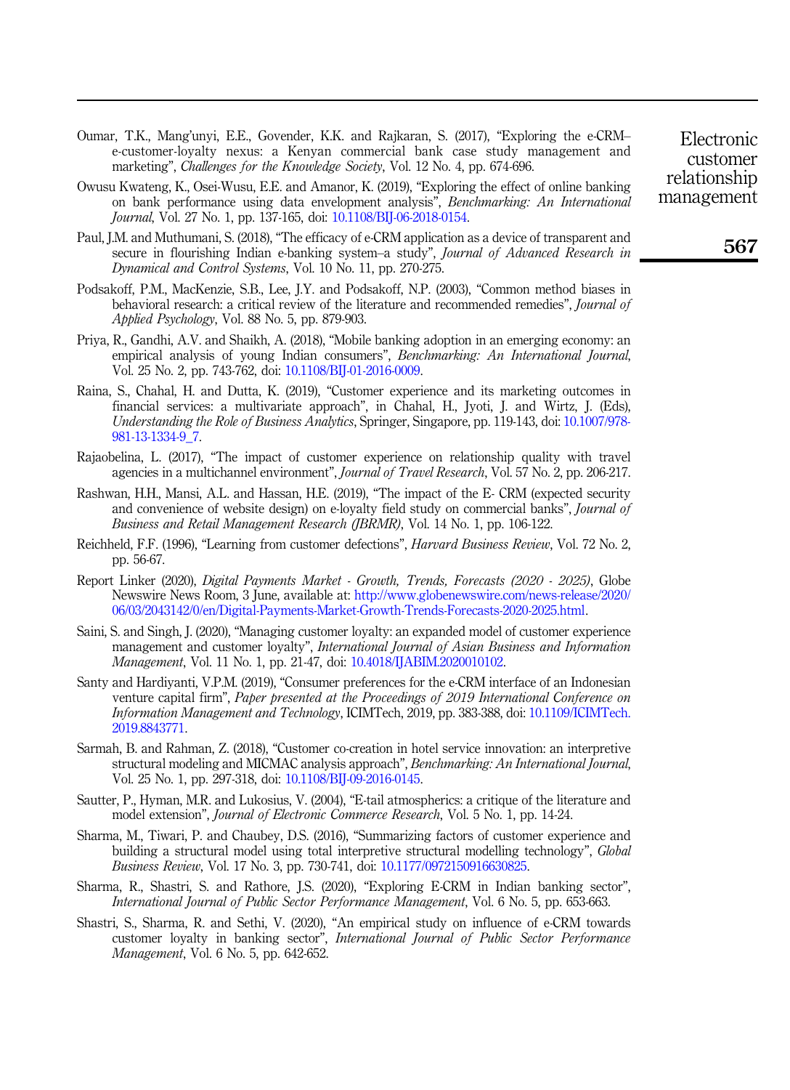- <span id="page-17-0"></span>Oumar, T.K., Mang'unyi, E.E., Govender, K.K. and Rajkaran, S. (2017), "Exploring the e-CRM– e-customer-loyalty nexus: a Kenyan commercial bank case study management and marketing", *Challenges for the Knowledge Society*, Vol. 12 No. 4, pp. 674-696.
- <span id="page-17-3"></span>Owusu Kwateng, K., Osei-Wusu, E.E. and Amanor, K. (2019), "Exploring the effect of online banking on bank performance using data envelopment analysis", Benchmarking: An International Journal, Vol. 27 No. 1, pp. 137-165, doi: [10.1108/BIJ-06-2018-0154.](https://doi.org/10.1108/BIJ-06-2018-0154)
- <span id="page-17-16"></span>Paul, J.M. and Muthumani, S. (2018), "The efficacy of e-CRM application as a device of transparent and secure in flourishing Indian e-banking system-a study", Journal of Advanced Research in Dynamical and Control Systems, Vol. 10 No. 11, pp. 270-275.
- <span id="page-17-15"></span>Podsakoff, P.M., MacKenzie, S.B., Lee, J.Y. and Podsakoff, N.P. (2003), "Common method biases in behavioral research: a critical review of the literature and recommended remedies", Journal of Applied Psychology, Vol. 88 No. 5, pp. 879-903.
- <span id="page-17-2"></span>Priya, R., Gandhi, A.V. and Shaikh, A. (2018), "Mobile banking adoption in an emerging economy: an empirical analysis of young Indian consumers", Benchmarking: An International Journal, Vol. 25 No. 2, pp. 743-762, doi: [10.1108/BIJ-01-2016-0009.](https://doi.org/10.1108/BIJ-01-2016-0009)
- <span id="page-17-9"></span>Raina, S., Chahal, H. and Dutta, K. (2019), "Customer experience and its marketing outcomes in financial services: a multivariate approach", in Chahal, H., Jyoti, J. and Wirtz, J. (Eds), Understanding the Role of Business Analytics, Springer, Singapore, pp. 119-143, doi: [10.1007/978-](https://doi.org/10.1007/978-981-13-1334-9_7) [981-13-1334-9\\_7](https://doi.org/10.1007/978-981-13-1334-9_7).
- <span id="page-17-12"></span>Rajaobelina, L. (2017), "The impact of customer experience on relationship quality with travel agencies in a multichannel environment", Journal of Travel Research, Vol. 57 No. 2, pp. 206-217.
- <span id="page-17-7"></span>Rashwan, H.H., Mansi, A.L. and Hassan, H.E. (2019), "The impact of the E- CRM (expected security and convenience of website design) on e-loyalty field study on commercial banks", *Journal of* Business and Retail Management Research (JBRMR), Vol. 14 No. 1, pp. 106-122.
- <span id="page-17-6"></span>Reichheld, F.F. (1996), "Learning from customer defections", Harvard Business Review, Vol. 72 No. 2, pp. 56-67.
- <span id="page-17-5"></span>Report Linker (2020), Digital Payments Market - Growth, Trends, Forecasts (2020 - 2025), Globe Newswire News Room, 3 June, available at: [http://www.globenewswire.com/news-release/2020/](http://www.globenewswire.com/news-release/2020/06/03/2043142/0/en/Digital-Payments-Market-Growth-Trends-Forecasts-2020-2025.html) [06/03/2043142/0/en/Digital-Payments-Market-Growth-Trends-Forecasts-2020-2025.html.](http://www.globenewswire.com/news-release/2020/06/03/2043142/0/en/Digital-Payments-Market-Growth-Trends-Forecasts-2020-2025.html)
- <span id="page-17-14"></span>Saini, S. and Singh, J. (2020), "Managing customer loyalty: an expanded model of customer experience management and customer loyalty", International Journal of Asian Business and Information Management, Vol. 11 No. 1, pp. 21-47, doi: [10.4018/IJABIM.2020010102](https://doi.org/10.4018/IJABIM.2020010102).
- <span id="page-17-1"></span>Santy and Hardiyanti, V.P.M. (2019), "Consumer preferences for the e-CRM interface of an Indonesian venture capital firm", Paper presented at the Proceedings of 2019 International Conference on Information Management and Technology, ICIMTech, 2019, pp. 383-388, doi: [10.1109/ICIMTech.](https://doi.org/10.1109/ICIMTech.2019.8843771) [2019.8843771](https://doi.org/10.1109/ICIMTech.2019.8843771).
- <span id="page-17-4"></span>Sarmah, B. and Rahman, Z. (2018), "Customer co-creation in hotel service innovation: an interpretive structural modeling and MICMAC analysis approach", Benchmarking: An International Journal, Vol. 25 No. 1, pp. 297-318, doi: [10.1108/BIJ-09-2016-0145.](https://doi.org/10.1108/BIJ-09-2016-0145)
- <span id="page-17-11"></span>Sautter, P., Hyman, M.R. and Lukosius, V. (2004), "E-tail atmospherics: a critique of the literature and model extension", Journal of Electronic Commerce Research, Vol. 5 No. 1, pp. 14-24.
- <span id="page-17-13"></span>Sharma, M., Tiwari, P. and Chaubey, D.S. (2016), "Summarizing factors of customer experience and building a structural model using total interpretive structural modelling technology", Global Business Review, Vol. 17 No. 3, pp. 730-741, doi: [10.1177/0972150916630825](https://doi.org/10.1177/0972150916630825).
- <span id="page-17-10"></span>Sharma, R., Shastri, S. and Rathore, J.S. (2020), "Exploring E-CRM in Indian banking sector", International Journal of Public Sector Performance Management, Vol. 6 No. 5, pp. 653-663.
- <span id="page-17-8"></span>Shastri, S., Sharma, R. and Sethi, V. (2020), "An empirical study on influence of e-CRM towards customer loyalty in banking sector", International Journal of Public Sector Performance Management, Vol. 6 No. 5, pp. 642-652.

Electronic customer relationship management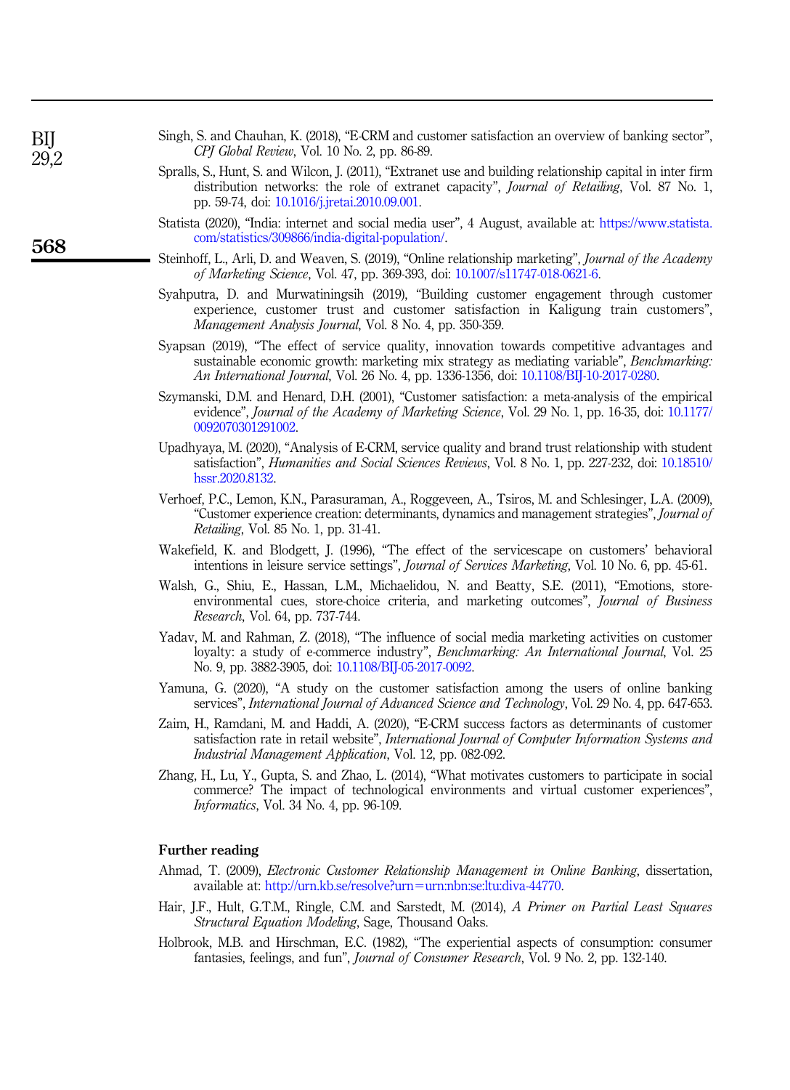- <span id="page-18-2"></span>Singh, S. and Chauhan, K. (2018), "E-CRM and customer satisfaction an overview of banking sector", CPJ Global Review, Vol. 10 No. 2, pp. 86-89.
- <span id="page-18-14"></span>Spralls, S., Hunt, S. and Wilcon, J. (2011), "Extranet use and building relationship capital in inter firm distribution networks: the role of extranet capacity", Journal of Retailing, Vol. 87 No. 1, pp. 59-74, doi: [10.1016/j.jretai.2010.09.001.](https://doi.org/10.1016/j.jretai.2010.09.001)
- <span id="page-18-0"></span>Statista (2020), "India: internet and social media user", 4 August, available at: [https://www.statista.](https://www.statista.com/statistics/309866/india-digital-population/) [com/statistics/309866/india-digital-population/.](https://www.statista.com/statistics/309866/india-digital-population/)
- <span id="page-18-1"></span>Steinhoff, L., Arli, D. and Weaven, S. (2019), "Online relationship marketing", Journal of the Academy of Marketing Science, Vol. 47, pp. 369-393, doi: [10.1007/s11747-018-0621-6.](https://doi.org/10.1007/s11747-018-0621-6)
- <span id="page-18-5"></span>Syahputra, D. and Murwatiningsih (2019), "Building customer engagement through customer experience, customer trust and customer satisfaction in Kaligung train customers", Management Analysis Journal, Vol. 8 No. 4, pp. 350-359.
- <span id="page-18-10"></span>Syapsan (2019), "The effect of service quality, innovation towards competitive advantages and sustainable economic growth: marketing mix strategy as mediating variable", *Benchmarking*: An International Journal, Vol. 26 No. 4, pp. 1336-1356, doi: [10.1108/BIJ-10-2017-0280](https://doi.org/10.1108/BIJ-10-2017-0280).
- <span id="page-18-11"></span>Szymanski, D.M. and Henard, D.H. (2001), "Customer satisfaction: a meta-analysis of the empirical evidence", *Journal of the Academy of Marketing Science*, Vol. 29 No. 1, pp. 16-35, doi: [10.1177/](https://doi.org/10.1177/0092070301291002) [0092070301291002.](https://doi.org/10.1177/0092070301291002)
- <span id="page-18-12"></span>Upadhyaya, M. (2020), "Analysis of E-CRM, service quality and brand trust relationship with student satisfaction", Humanities and Social Sciences Reviews, Vol. 8 No. 1, pp. 227-232, doi: [10.18510/](https://doi.org/10.18510/hssr.2020.8132) [hssr.2020.8132.](https://doi.org/10.18510/hssr.2020.8132)
- <span id="page-18-13"></span>Verhoef, P.C., Lemon, K.N., Parasuraman, A., Roggeveen, A., Tsiros, M. and Schlesinger, L.A. (2009), "Customer experience creation: determinants, dynamics and management strategies", Journal of Retailing, Vol. 85 No. 1, pp. 31-41.
- <span id="page-18-6"></span>Wakefield, K. and Blodgett, J. (1996), "The effect of the servicescape on customers' behavioral intentions in leisure service settings", Journal of Services Marketing, Vol. 10 No. 6, pp. 45-61.
- <span id="page-18-8"></span>Walsh, G., Shiu, E., Hassan, L.M., Michaelidou, N. and Beatty, S.E. (2011), "Emotions, storeenvironmental cues, store-choice criteria, and marketing outcomes", Journal of Business Research, Vol. 64, pp. 737-744.
- <span id="page-18-7"></span>Yadav, M. and Rahman, Z. (2018), "The influence of social media marketing activities on customer loyalty: a study of e-commerce industry", Benchmarking: An International Journal, Vol. 25 No. 9, pp. 3882-3905, doi: [10.1108/BIJ-05-2017-0092.](https://doi.org/10.1108/BIJ-05-2017-0092)
- <span id="page-18-3"></span>Yamuna, G. (2020), "A study on the customer satisfaction among the users of online banking services", International Journal of Advanced Science and Technology, Vol. 29 No. 4, pp. 647-653.
- <span id="page-18-4"></span>Zaim, H., Ramdani, M. and Haddi, A. (2020), "E-CRM success factors as determinants of customer satisfaction rate in retail website", International Journal of Computer Information Systems and Industrial Management Application, Vol. 12, pp. 082-092.
- <span id="page-18-9"></span>Zhang, H., Lu, Y., Gupta, S. and Zhao, L. (2014), "What motivates customers to participate in social commerce? The impact of technological environments and virtual customer experiences", Informatics, Vol. 34 No. 4, pp. 96-109.

#### Further reading

- Ahmad, T. (2009), Electronic Customer Relationship Management in Online Banking, dissertation, available at: [http://urn.kb.se/resolve?urn](http://urn.kb.se/resolve?urn=urn:nbn:se:ltu:diva-44770)=[urn:nbn:se:ltu:diva-44770.](http://urn.kb.se/resolve?urn=urn:nbn:se:ltu:diva-44770)
- Hair, J.F., Hult, G.T.M., Ringle, C.M. and Sarstedt, M. (2014), A Primer on Partial Least Squares Structural Equation Modeling, Sage, Thousand Oaks.
- Holbrook, M.B. and Hirschman, E.C. (1982), "The experiential aspects of consumption: consumer fantasies, feelings, and fun", Journal of Consumer Research, Vol. 9 No. 2, pp. 132-140.

BIJ  $29.2$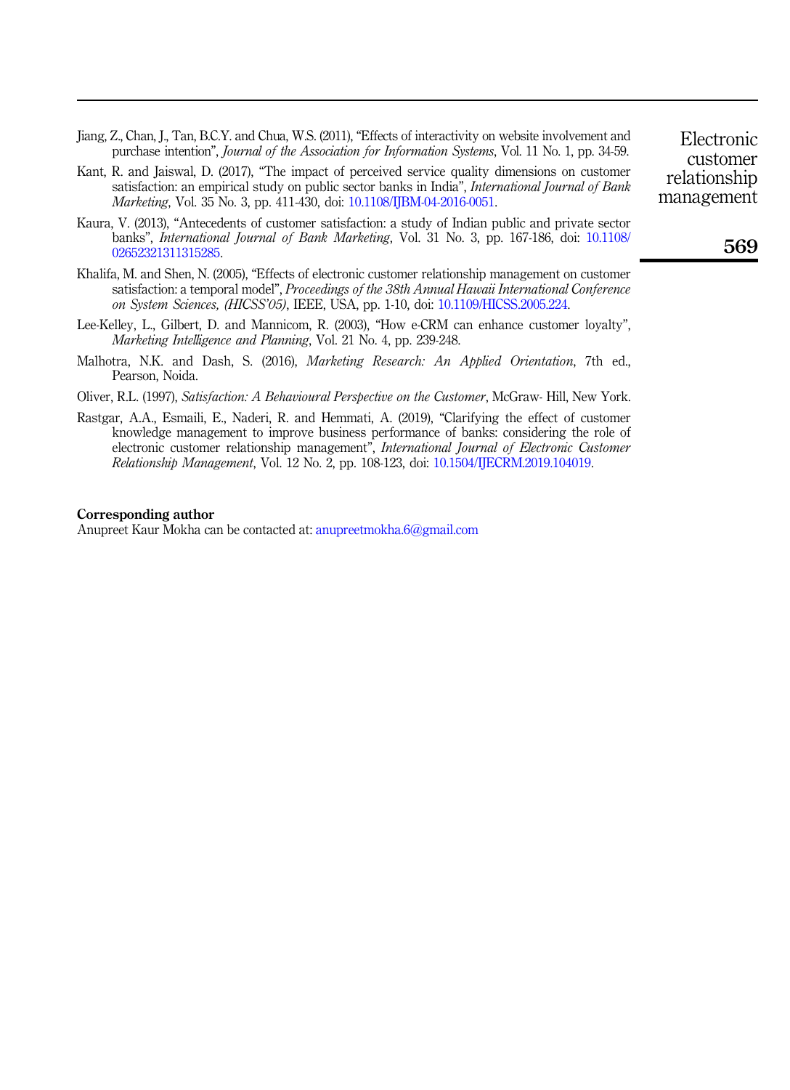- Jiang, Z., Chan, J., Tan, B.C.Y. and Chua, W.S. (2011), "Effects of interactivity on website involvement and purchase intention", Journal of the Association for Information Systems, Vol. 11 No. 1, pp. 34-59.
- Kant, R. and Jaiswal, D. (2017), "The impact of perceived service quality dimensions on customer satisfaction: an empirical study on public sector banks in India", International Journal of Bank Marketing, Vol. 35 No. 3, pp. 411-430, doi: [10.1108/IJBM-04-2016-0051](https://doi.org/10.1108/IJBM-04-2016-0051).
- Kaura, V. (2013), "Antecedents of customer satisfaction: a study of Indian public and private sector banks", *International Journal of Bank Marketing*, Vol. 31 No. 3, pp. 167-186, doi: [10.1108/](https://doi.org/10.1108/02652321311315285) [02652321311315285.](https://doi.org/10.1108/02652321311315285)
- Khalifa, M. and Shen, N. (2005), "Effects of electronic customer relationship management on customer satisfaction: a temporal model", Proceedings of the 38th Annual Hawaii International Conference on System Sciences, (HICSS'05), IEEE, USA, pp. 1-10, doi: [10.1109/HICSS.2005.224.](https://doi.org/10.1109/HICSS.2005.224)
- Lee-Kelley, L., Gilbert, D. and Mannicom, R. (2003), "How e-CRM can enhance customer loyalty", Marketing Intelligence and Planning, Vol. 21 No. 4, pp. 239-248.
- Malhotra, N.K. and Dash, S. (2016), *Marketing Research: An Applied Orientation*, 7th ed., Pearson, Noida.
- Oliver, R.L. (1997), Satisfaction: A Behavioural Perspective on the Customer, McGraw- Hill, New York.
- Rastgar, A.A., Esmaili, E., Naderi, R. and Hemmati, A. (2019), "Clarifying the effect of customer knowledge management to improve business performance of banks: considering the role of electronic customer relationship management", International Journal of Electronic Customer Relationship Management, Vol. 12 No. 2, pp. 108-123, doi: [10.1504/IJECRM.2019.104019](https://doi.org/10.1504/IJECRM.2019.104019).

#### Corresponding author

Anupreet Kaur Mokha can be contacted at: [anupreetmokha.6@gmail.com](mailto:anupreetmokha.6@gmail.com)

Electronic customer relationship management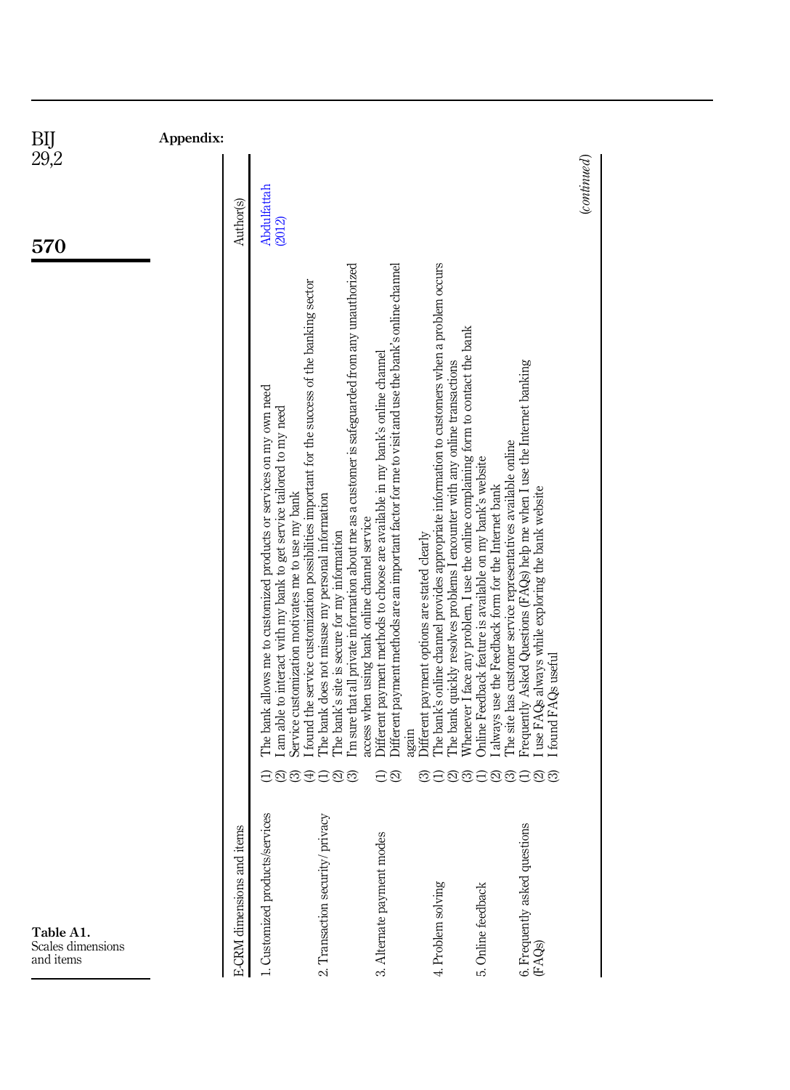<span id="page-20-0"></span>

570

<span id="page-20-1"></span>

|                                         |                                                                                                                                                                                                                                                                                                                         | Appendix:                      |  |
|-----------------------------------------|-------------------------------------------------------------------------------------------------------------------------------------------------------------------------------------------------------------------------------------------------------------------------------------------------------------------------|--------------------------------|--|
| <b>E-CRM</b> dimensions and items       |                                                                                                                                                                                                                                                                                                                         | Author(s)                      |  |
| 1. Customized products/services         | found the service customization possibilities important for the success of the banking sector<br>The bank allows me to customized products or services on my own need<br>I am able to interact with my bank to get service tailored to my need<br>Service customization motivates me to use my bank<br>ನ                | <b>Abdulfattah</b><br>(2012)   |  |
| 2. Transaction security/ privacy        | I'm sure that all private information about me as a customer is safeguarded from any unauthorized<br>The bank does not misuse my personal information<br>access when using bank online channel service<br>The bank's site is secure for my information<br>ର<br>ನ                                                        |                                |  |
| 3. Alternate payment modes              | Offerent payment methods are an important factor for me to visit and use the bank's online channel<br>Offerent payment methods to choose are available in my bank's online channel<br>mrain<br>$\widehat{\mathfrak{Q}}$<br>A                                                                                            |                                |  |
| 4. Problem solving                      | The bank's online channel provides appropriate information to customers when a problem occurs<br>Whenever I face any problem, I use the online complaining form to contact the bank<br>The bank quickly resolves problems I encounter with any online transactions<br>Different payment options are stated clearly<br>ನ |                                |  |
| 5. Online feedback                      | The site has customer service representatives available online<br>Online Feedback feature is available on my bank's website<br>always use the Feedback form for the Internet bank<br>ನ                                                                                                                                  |                                |  |
| 6. Frequently asked questions<br>(FAQs) | Prequently Asked Questions (FAQs) help me when I use the Internet banking<br>use FAQs always while exploring the bank website<br>found FAQs useful<br>ର<br>බ                                                                                                                                                            |                                |  |
|                                         |                                                                                                                                                                                                                                                                                                                         | $_{\footnotesize (continued)}$ |  |

Table A1. Scales dimensions and items